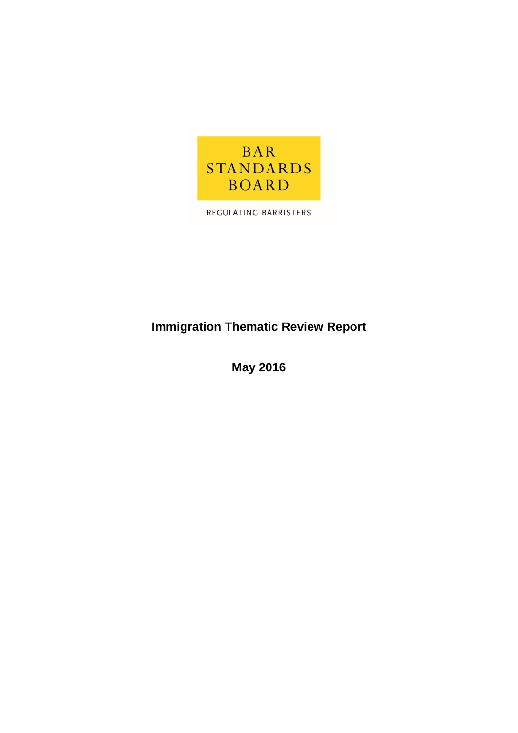

REGULATING BARRISTERS

# **Immigration Thematic Review Report**

**May 2016**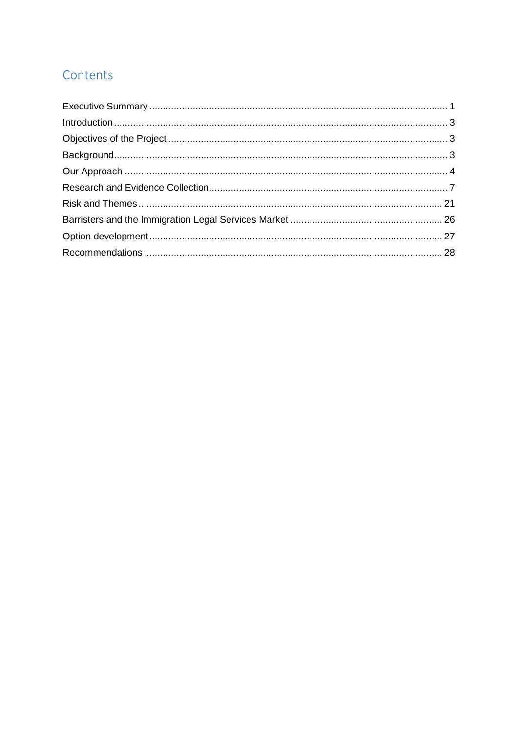# Contents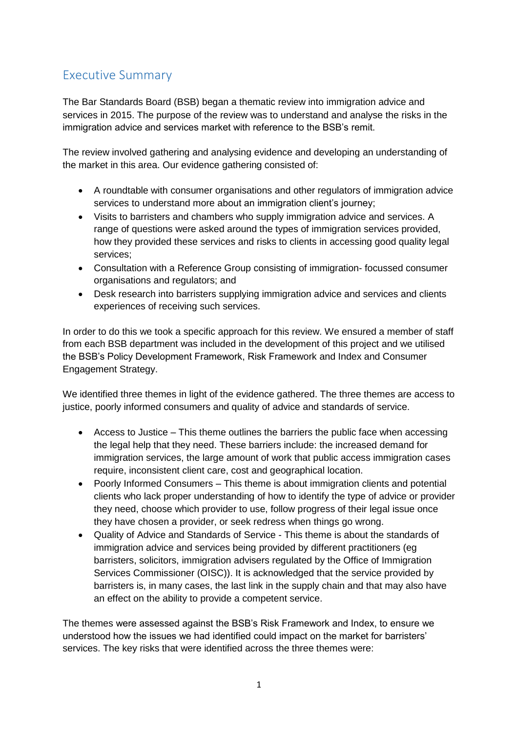# <span id="page-2-0"></span>Executive Summary

The Bar Standards Board (BSB) began a thematic review into immigration advice and services in 2015. The purpose of the review was to understand and analyse the risks in the immigration advice and services market with reference to the BSB's remit.

The review involved gathering and analysing evidence and developing an understanding of the market in this area. Our evidence gathering consisted of:

- A roundtable with consumer organisations and other regulators of immigration advice services to understand more about an immigration client's journey;
- Visits to barristers and chambers who supply immigration advice and services. A range of questions were asked around the types of immigration services provided, how they provided these services and risks to clients in accessing good quality legal services;
- Consultation with a Reference Group consisting of immigration- focussed consumer organisations and regulators; and
- Desk research into barristers supplying immigration advice and services and clients experiences of receiving such services.

In order to do this we took a specific approach for this review. We ensured a member of staff from each BSB department was included in the development of this project and we utilised the BSB's Policy Development Framework, Risk Framework and Index and Consumer Engagement Strategy.

We identified three themes in light of the evidence gathered. The three themes are access to justice, poorly informed consumers and quality of advice and standards of service.

- Access to Justice This theme outlines the barriers the public face when accessing the legal help that they need. These barriers include: the increased demand for immigration services, the large amount of work that public access immigration cases require, inconsistent client care, cost and geographical location.
- Poorly Informed Consumers This theme is about immigration clients and potential clients who lack proper understanding of how to identify the type of advice or provider they need, choose which provider to use, follow progress of their legal issue once they have chosen a provider, or seek redress when things go wrong.
- Quality of Advice and Standards of Service This theme is about the standards of immigration advice and services being provided by different practitioners (eg barristers, solicitors, immigration advisers regulated by the Office of Immigration Services Commissioner (OISC)). It is acknowledged that the service provided by barristers is, in many cases, the last link in the supply chain and that may also have an effect on the ability to provide a competent service.

The themes were assessed against the BSB's Risk Framework and Index, to ensure we understood how the issues we had identified could impact on the market for barristers' services. The key risks that were identified across the three themes were: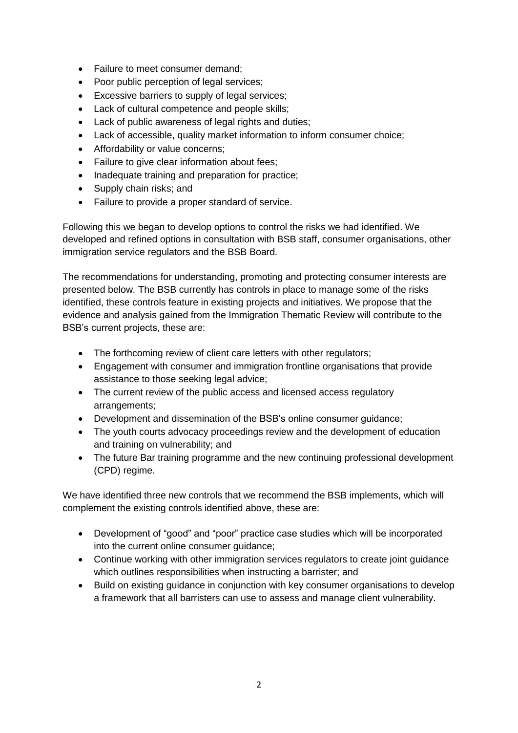- Failure to meet consumer demand;
- Poor public perception of legal services;
- Excessive barriers to supply of legal services:
- Lack of cultural competence and people skills;
- Lack of public awareness of legal rights and duties;
- Lack of accessible, quality market information to inform consumer choice;
- Affordability or value concerns:
- Failure to give clear information about fees:
- Inadequate training and preparation for practice;
- Supply chain risks; and
- Failure to provide a proper standard of service.

Following this we began to develop options to control the risks we had identified. We developed and refined options in consultation with BSB staff, consumer organisations, other immigration service regulators and the BSB Board.

The recommendations for understanding, promoting and protecting consumer interests are presented below. The BSB currently has controls in place to manage some of the risks identified, these controls feature in existing projects and initiatives. We propose that the evidence and analysis gained from the Immigration Thematic Review will contribute to the BSB's current projects, these are:

- The forthcoming review of client care letters with other regulators;
- Engagement with consumer and immigration frontline organisations that provide assistance to those seeking legal advice;
- The current review of the public access and licensed access regulatory arrangements;
- Development and dissemination of the BSB's online consumer guidance;
- The youth courts advocacy proceedings review and the development of education and training on vulnerability; and
- The future Bar training programme and the new continuing professional development (CPD) regime.

We have identified three new controls that we recommend the BSB implements, which will complement the existing controls identified above, these are:

- Development of "good" and "poor" practice case studies which will be incorporated into the current online consumer guidance;
- Continue working with other immigration services regulators to create joint guidance which outlines responsibilities when instructing a barrister; and
- Build on existing guidance in conjunction with key consumer organisations to develop a framework that all barristers can use to assess and manage client vulnerability.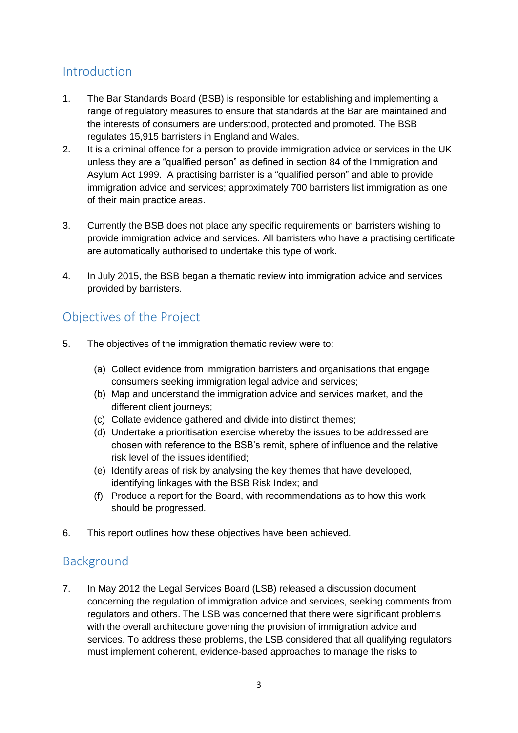# <span id="page-4-0"></span>**Introduction**

- 1. The Bar Standards Board (BSB) is responsible for establishing and implementing a range of regulatory measures to ensure that standards at the Bar are maintained and the interests of consumers are understood, protected and promoted. The BSB regulates 15,915 barristers in England and Wales.
- 2. It is a criminal offence for a person to provide immigration advice or services in the UK unless they are a "qualified person" as defined in section 84 of the Immigration and Asylum Act 1999. A practising barrister is a "qualified person" and able to provide immigration advice and services; approximately 700 barristers list immigration as one of their main practice areas.
- 3. Currently the BSB does not place any specific requirements on barristers wishing to provide immigration advice and services. All barristers who have a practising certificate are automatically authorised to undertake this type of work.
- 4. In July 2015, the BSB began a thematic review into immigration advice and services provided by barristers.

# <span id="page-4-1"></span>Objectives of the Project

- 5. The objectives of the immigration thematic review were to:
	- (a) Collect evidence from immigration barristers and organisations that engage consumers seeking immigration legal advice and services;
	- (b) Map and understand the immigration advice and services market, and the different client journeys;
	- (c) Collate evidence gathered and divide into distinct themes;
	- (d) Undertake a prioritisation exercise whereby the issues to be addressed are chosen with reference to the BSB's remit, sphere of influence and the relative risk level of the issues identified;
	- (e) Identify areas of risk by analysing the key themes that have developed, identifying linkages with the BSB Risk Index; and
	- (f) Produce a report for the Board, with recommendations as to how this work should be progressed.
- 6. This report outlines how these objectives have been achieved.

## <span id="page-4-2"></span>Background

7. In May 2012 the Legal Services Board (LSB) released a discussion document concerning the regulation of immigration advice and services, seeking comments from regulators and others. The LSB was concerned that there were significant problems with the overall architecture governing the provision of immigration advice and services. To address these problems, the LSB considered that all qualifying regulators must implement coherent, evidence-based approaches to manage the risks to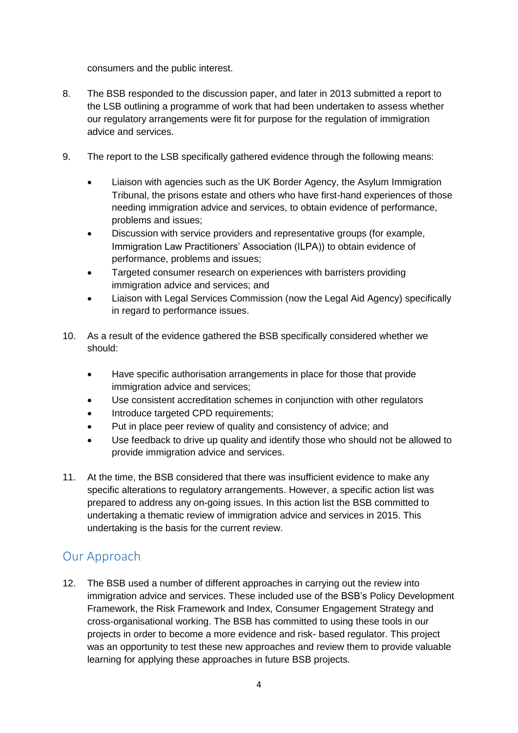consumers and the public interest.

- 8. The BSB responded to the discussion paper, and later in 2013 submitted a report to the LSB outlining a programme of work that had been undertaken to assess whether our regulatory arrangements were fit for purpose for the regulation of immigration advice and services.
- 9. The report to the LSB specifically gathered evidence through the following means:
	- Liaison with agencies such as the UK Border Agency, the Asylum Immigration Tribunal, the prisons estate and others who have first-hand experiences of those needing immigration advice and services, to obtain evidence of performance, problems and issues;
	- Discussion with service providers and representative groups (for example, Immigration Law Practitioners' Association (ILPA)) to obtain evidence of performance, problems and issues;
	- Targeted consumer research on experiences with barristers providing immigration advice and services; and
	- Liaison with Legal Services Commission (now the Legal Aid Agency) specifically in regard to performance issues.
- 10. As a result of the evidence gathered the BSB specifically considered whether we should:
	- Have specific authorisation arrangements in place for those that provide immigration advice and services;
	- Use consistent accreditation schemes in conjunction with other regulators
	- Introduce targeted CPD requirements;
	- Put in place peer review of quality and consistency of advice; and
	- Use feedback to drive up quality and identify those who should not be allowed to provide immigration advice and services.
- 11. At the time, the BSB considered that there was insufficient evidence to make any specific alterations to regulatory arrangements. However, a specific action list was prepared to address any on-going issues. In this action list the BSB committed to undertaking a thematic review of immigration advice and services in 2015. This undertaking is the basis for the current review.

# <span id="page-5-0"></span>Our Approach

12. The BSB used a number of different approaches in carrying out the review into immigration advice and services. These included use of the BSB's Policy Development Framework, the Risk Framework and Index, Consumer Engagement Strategy and cross-organisational working. The BSB has committed to using these tools in our projects in order to become a more evidence and risk- based regulator. This project was an opportunity to test these new approaches and review them to provide valuable learning for applying these approaches in future BSB projects.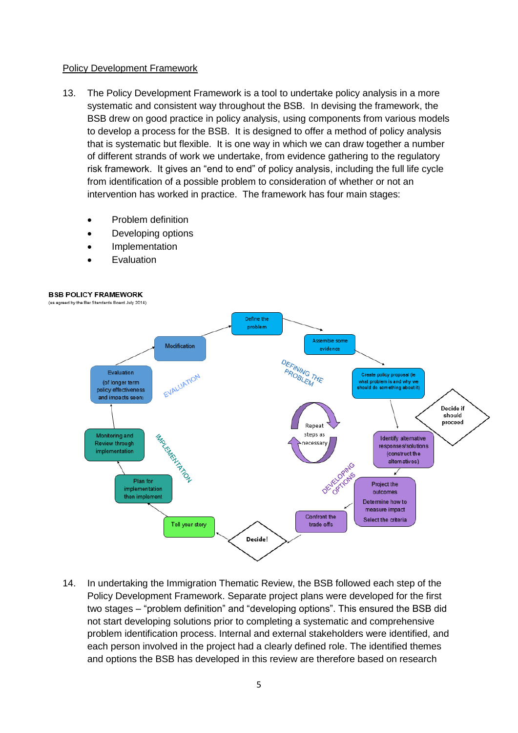#### Policy Development Framework

- 13. The Policy Development Framework is a tool to undertake policy analysis in a more systematic and consistent way throughout the BSB. In devising the framework, the BSB drew on good practice in policy analysis, using components from various models to develop a process for the BSB. It is designed to offer a method of policy analysis that is systematic but flexible. It is one way in which we can draw together a number of different strands of work we undertake, from evidence gathering to the regulatory risk framework. It gives an "end to end" of policy analysis, including the full life cycle from identification of a possible problem to consideration of whether or not an intervention has worked in practice. The framework has four main stages:
	- Problem definition
	- Developing options
	- Implementation
	- Evaluation



14. In undertaking the Immigration Thematic Review, the BSB followed each step of the Policy Development Framework. Separate project plans were developed for the first two stages – "problem definition" and "developing options". This ensured the BSB did not start developing solutions prior to completing a systematic and comprehensive problem identification process. Internal and external stakeholders were identified, and each person involved in the project had a clearly defined role. The identified themes and options the BSB has developed in this review are therefore based on research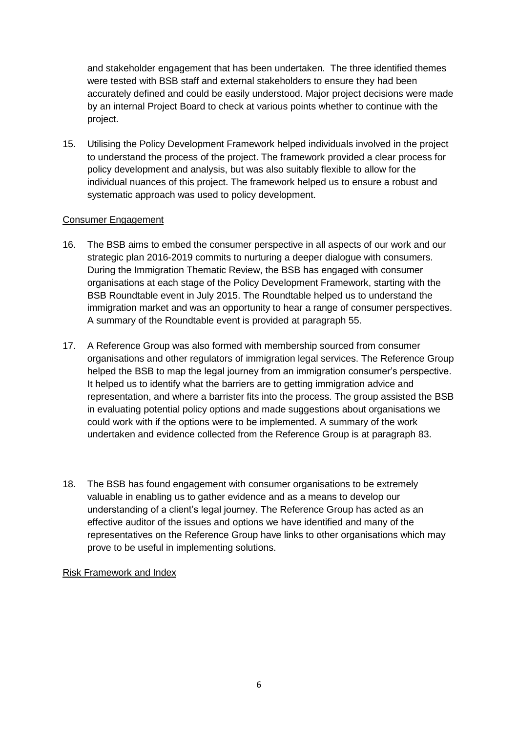and stakeholder engagement that has been undertaken. The three identified themes were tested with BSB staff and external stakeholders to ensure they had been accurately defined and could be easily understood. Major project decisions were made by an internal Project Board to check at various points whether to continue with the project.

15. Utilising the Policy Development Framework helped individuals involved in the project to understand the process of the project. The framework provided a clear process for policy development and analysis, but was also suitably flexible to allow for the individual nuances of this project. The framework helped us to ensure a robust and systematic approach was used to policy development.

#### Consumer Engagement

- 16. The BSB aims to embed the consumer perspective in all aspects of our work and our strategic plan 2016-2019 commits to nurturing a deeper dialogue with consumers. During the Immigration Thematic Review, the BSB has engaged with consumer organisations at each stage of the Policy Development Framework, starting with the BSB Roundtable event in July 2015. The Roundtable helped us to understand the immigration market and was an opportunity to hear a range of consumer perspectives. A summary of the Roundtable event is provided at paragraph 55.
- 17. A Reference Group was also formed with membership sourced from consumer organisations and other regulators of immigration legal services. The Reference Group helped the BSB to map the legal journey from an immigration consumer's perspective. It helped us to identify what the barriers are to getting immigration advice and representation, and where a barrister fits into the process. The group assisted the BSB in evaluating potential policy options and made suggestions about organisations we could work with if the options were to be implemented. A summary of the work undertaken and evidence collected from the Reference Group is at paragraph 83.
- 18. The BSB has found engagement with consumer organisations to be extremely valuable in enabling us to gather evidence and as a means to develop our understanding of a client's legal journey. The Reference Group has acted as an effective auditor of the issues and options we have identified and many of the representatives on the Reference Group have links to other organisations which may prove to be useful in implementing solutions.

Risk Framework and Index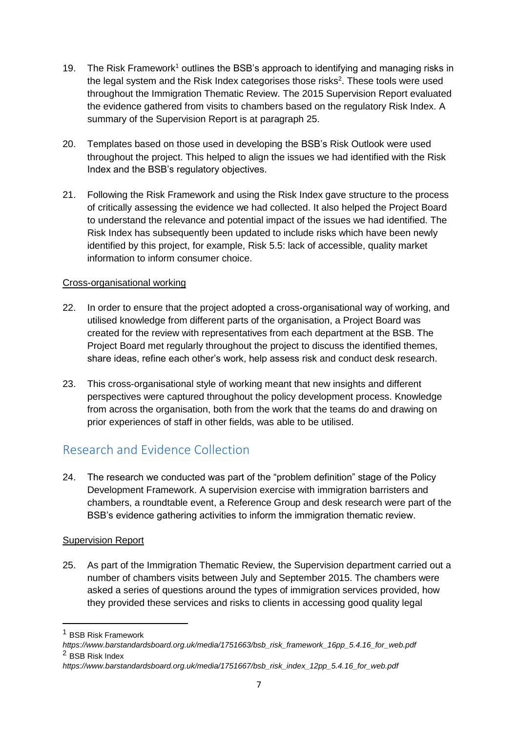- 19. The Risk Framework<sup>1</sup> outlines the BSB's approach to identifying and managing risks in the legal system and the Risk Index categorises those risks<sup>2</sup>. These tools were used throughout the Immigration Thematic Review. The 2015 Supervision Report evaluated the evidence gathered from visits to chambers based on the regulatory Risk Index. A summary of the Supervision Report is at paragraph 25.
- 20. Templates based on those used in developing the BSB's Risk Outlook were used throughout the project. This helped to align the issues we had identified with the Risk Index and the BSB's regulatory objectives.
- 21. Following the Risk Framework and using the Risk Index gave structure to the process of critically assessing the evidence we had collected. It also helped the Project Board to understand the relevance and potential impact of the issues we had identified. The Risk Index has subsequently been updated to include risks which have been newly identified by this project, for example, Risk 5.5: lack of accessible, quality market information to inform consumer choice.

#### Cross-organisational working

- 22. In order to ensure that the project adopted a cross-organisational way of working, and utilised knowledge from different parts of the organisation, a Project Board was created for the review with representatives from each department at the BSB. The Project Board met regularly throughout the project to discuss the identified themes, share ideas, refine each other's work, help assess risk and conduct desk research.
- 23. This cross-organisational style of working meant that new insights and different perspectives were captured throughout the policy development process. Knowledge from across the organisation, both from the work that the teams do and drawing on prior experiences of staff in other fields, was able to be utilised.

# <span id="page-8-0"></span>Research and Evidence Collection

24. The research we conducted was part of the "problem definition" stage of the Policy Development Framework. A supervision exercise with immigration barristers and chambers, a roundtable event, a Reference Group and desk research were part of the BSB's evidence gathering activities to inform the immigration thematic review.

## **Supervision Report**

25. As part of the Immigration Thematic Review, the Supervision department carried out a number of chambers visits between July and September 2015. The chambers were asked a series of questions around the types of immigration services provided, how they provided these services and risks to clients in accessing good quality legal

1

*https://www.barstandardsboard.org.uk/media/1751663/bsb\_risk\_framework\_16pp\_5.4.16\_for\_web.pdf* <sup>2</sup> BSB Risk Index

<sup>1</sup> BSB Risk Framework

*https://www.barstandardsboard.org.uk/media/1751667/bsb\_risk\_index\_12pp\_5.4.16\_for\_web.pdf*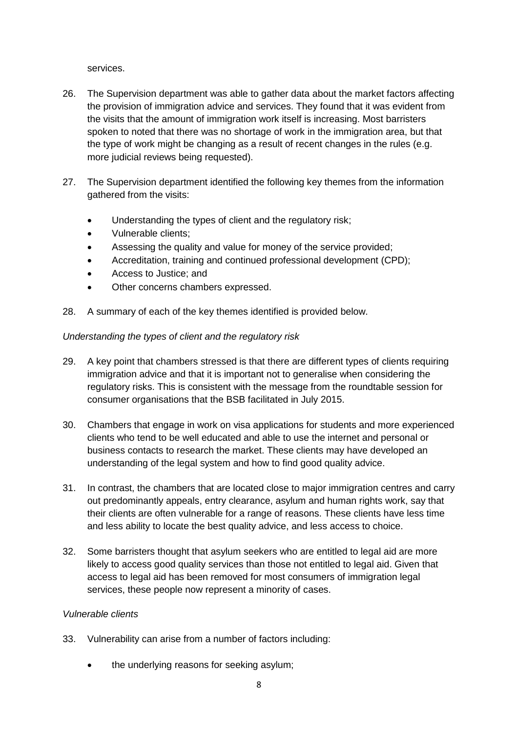services.

- 26. The Supervision department was able to gather data about the market factors affecting the provision of immigration advice and services. They found that it was evident from the visits that the amount of immigration work itself is increasing. Most barristers spoken to noted that there was no shortage of work in the immigration area, but that the type of work might be changing as a result of recent changes in the rules (e.g. more judicial reviews being requested).
- 27. The Supervision department identified the following key themes from the information gathered from the visits:
	- Understanding the types of client and the regulatory risk;
	- Vulnerable clients;
	- Assessing the quality and value for money of the service provided;
	- Accreditation, training and continued professional development (CPD);
	- Access to Justice; and
	- Other concerns chambers expressed.
- 28. A summary of each of the key themes identified is provided below.

#### *Understanding the types of client and the regulatory risk*

- 29. A key point that chambers stressed is that there are different types of clients requiring immigration advice and that it is important not to generalise when considering the regulatory risks. This is consistent with the message from the roundtable session for consumer organisations that the BSB facilitated in July 2015.
- 30. Chambers that engage in work on visa applications for students and more experienced clients who tend to be well educated and able to use the internet and personal or business contacts to research the market. These clients may have developed an understanding of the legal system and how to find good quality advice.
- 31. In contrast, the chambers that are located close to major immigration centres and carry out predominantly appeals, entry clearance, asylum and human rights work, say that their clients are often vulnerable for a range of reasons. These clients have less time and less ability to locate the best quality advice, and less access to choice.
- 32. Some barristers thought that asylum seekers who are entitled to legal aid are more likely to access good quality services than those not entitled to legal aid. Given that access to legal aid has been removed for most consumers of immigration legal services, these people now represent a minority of cases.

#### *Vulnerable clients*

- 33. Vulnerability can arise from a number of factors including:
	- the underlying reasons for seeking asylum;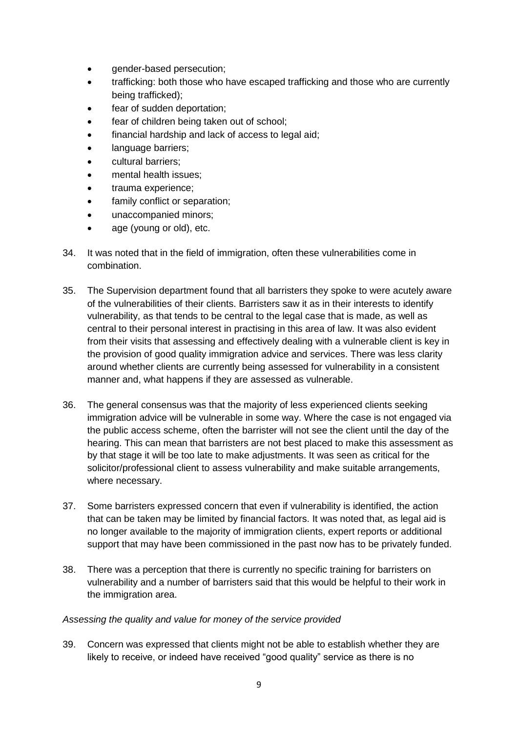- gender-based persecution;
- trafficking: both those who have escaped trafficking and those who are currently being trafficked);
- fear of sudden deportation;
- fear of children being taken out of school;
- financial hardship and lack of access to legal aid;
- language barriers;
- cultural barriers;
- mental health issues;
- trauma experience;
- family conflict or separation;
- unaccompanied minors;
- age (young or old), etc.
- 34. It was noted that in the field of immigration, often these vulnerabilities come in combination.
- 35. The Supervision department found that all barristers they spoke to were acutely aware of the vulnerabilities of their clients. Barristers saw it as in their interests to identify vulnerability, as that tends to be central to the legal case that is made, as well as central to their personal interest in practising in this area of law. It was also evident from their visits that assessing and effectively dealing with a vulnerable client is key in the provision of good quality immigration advice and services. There was less clarity around whether clients are currently being assessed for vulnerability in a consistent manner and, what happens if they are assessed as vulnerable.
- 36. The general consensus was that the majority of less experienced clients seeking immigration advice will be vulnerable in some way. Where the case is not engaged via the public access scheme, often the barrister will not see the client until the day of the hearing. This can mean that barristers are not best placed to make this assessment as by that stage it will be too late to make adjustments. It was seen as critical for the solicitor/professional client to assess vulnerability and make suitable arrangements, where necessary.
- 37. Some barristers expressed concern that even if vulnerability is identified, the action that can be taken may be limited by financial factors. It was noted that, as legal aid is no longer available to the majority of immigration clients, expert reports or additional support that may have been commissioned in the past now has to be privately funded.
- 38. There was a perception that there is currently no specific training for barristers on vulnerability and a number of barristers said that this would be helpful to their work in the immigration area.

#### *Assessing the quality and value for money of the service provided*

39. Concern was expressed that clients might not be able to establish whether they are likely to receive, or indeed have received "good quality" service as there is no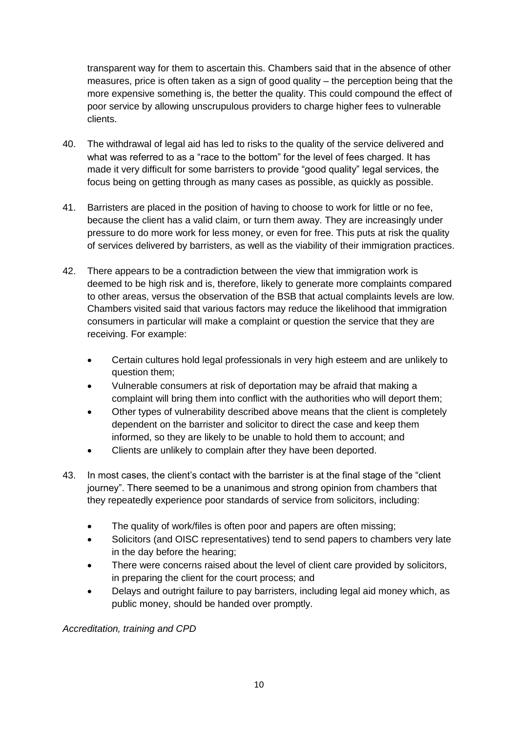transparent way for them to ascertain this. Chambers said that in the absence of other measures, price is often taken as a sign of good quality – the perception being that the more expensive something is, the better the quality. This could compound the effect of poor service by allowing unscrupulous providers to charge higher fees to vulnerable clients.

- 40. The withdrawal of legal aid has led to risks to the quality of the service delivered and what was referred to as a "race to the bottom" for the level of fees charged. It has made it very difficult for some barristers to provide "good quality" legal services, the focus being on getting through as many cases as possible, as quickly as possible.
- 41. Barristers are placed in the position of having to choose to work for little or no fee, because the client has a valid claim, or turn them away. They are increasingly under pressure to do more work for less money, or even for free. This puts at risk the quality of services delivered by barristers, as well as the viability of their immigration practices.
- 42. There appears to be a contradiction between the view that immigration work is deemed to be high risk and is, therefore, likely to generate more complaints compared to other areas, versus the observation of the BSB that actual complaints levels are low. Chambers visited said that various factors may reduce the likelihood that immigration consumers in particular will make a complaint or question the service that they are receiving. For example:
	- Certain cultures hold legal professionals in very high esteem and are unlikely to question them;
	- Vulnerable consumers at risk of deportation may be afraid that making a complaint will bring them into conflict with the authorities who will deport them;
	- Other types of vulnerability described above means that the client is completely dependent on the barrister and solicitor to direct the case and keep them informed, so they are likely to be unable to hold them to account; and
	- Clients are unlikely to complain after they have been deported.
- 43. In most cases, the client's contact with the barrister is at the final stage of the "client journey". There seemed to be a unanimous and strong opinion from chambers that they repeatedly experience poor standards of service from solicitors, including:
	- The quality of work/files is often poor and papers are often missing;
	- Solicitors (and OISC representatives) tend to send papers to chambers very late in the day before the hearing;
	- There were concerns raised about the level of client care provided by solicitors, in preparing the client for the court process; and
	- Delays and outright failure to pay barristers, including legal aid money which, as public money, should be handed over promptly.

*Accreditation, training and CPD*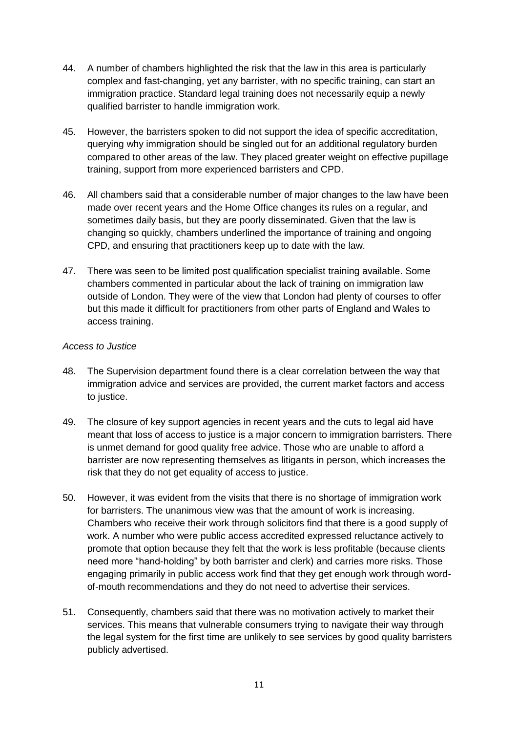- 44. A number of chambers highlighted the risk that the law in this area is particularly complex and fast-changing, yet any barrister, with no specific training, can start an immigration practice. Standard legal training does not necessarily equip a newly qualified barrister to handle immigration work.
- 45. However, the barristers spoken to did not support the idea of specific accreditation, querying why immigration should be singled out for an additional regulatory burden compared to other areas of the law. They placed greater weight on effective pupillage training, support from more experienced barristers and CPD.
- 46. All chambers said that a considerable number of major changes to the law have been made over recent years and the Home Office changes its rules on a regular, and sometimes daily basis, but they are poorly disseminated. Given that the law is changing so quickly, chambers underlined the importance of training and ongoing CPD, and ensuring that practitioners keep up to date with the law.
- 47. There was seen to be limited post qualification specialist training available. Some chambers commented in particular about the lack of training on immigration law outside of London. They were of the view that London had plenty of courses to offer but this made it difficult for practitioners from other parts of England and Wales to access training.

#### *Access to Justice*

- 48. The Supervision department found there is a clear correlation between the way that immigration advice and services are provided, the current market factors and access to justice.
- 49. The closure of key support agencies in recent years and the cuts to legal aid have meant that loss of access to justice is a major concern to immigration barristers. There is unmet demand for good quality free advice. Those who are unable to afford a barrister are now representing themselves as litigants in person, which increases the risk that they do not get equality of access to justice.
- 50. However, it was evident from the visits that there is no shortage of immigration work for barristers. The unanimous view was that the amount of work is increasing. Chambers who receive their work through solicitors find that there is a good supply of work. A number who were public access accredited expressed reluctance actively to promote that option because they felt that the work is less profitable (because clients need more "hand-holding" by both barrister and clerk) and carries more risks. Those engaging primarily in public access work find that they get enough work through wordof-mouth recommendations and they do not need to advertise their services.
- 51. Consequently, chambers said that there was no motivation actively to market their services. This means that vulnerable consumers trying to navigate their way through the legal system for the first time are unlikely to see services by good quality barristers publicly advertised.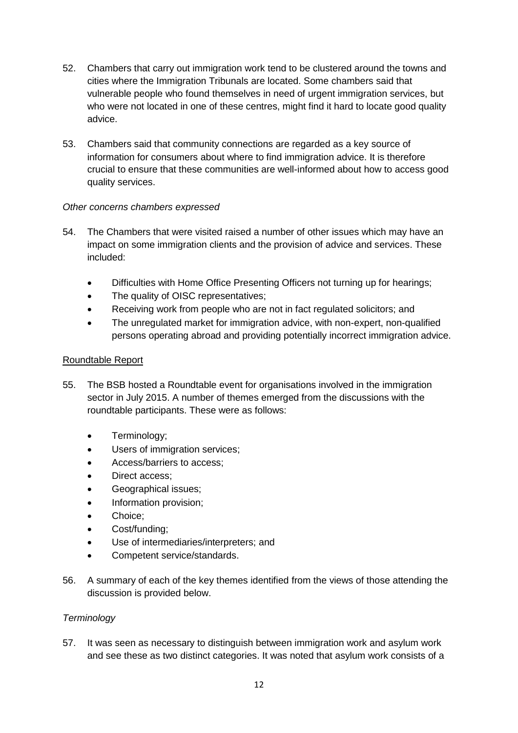- 52. Chambers that carry out immigration work tend to be clustered around the towns and cities where the Immigration Tribunals are located. Some chambers said that vulnerable people who found themselves in need of urgent immigration services, but who were not located in one of these centres, might find it hard to locate good quality advice.
- 53. Chambers said that community connections are regarded as a key source of information for consumers about where to find immigration advice. It is therefore crucial to ensure that these communities are well-informed about how to access good quality services.

#### *Other concerns chambers expressed*

- 54. The Chambers that were visited raised a number of other issues which may have an impact on some immigration clients and the provision of advice and services. These included:
	- Difficulties with Home Office Presenting Officers not turning up for hearings;
	- The quality of OISC representatives;
	- Receiving work from people who are not in fact regulated solicitors; and
	- The unregulated market for immigration advice, with non-expert, non-qualified persons operating abroad and providing potentially incorrect immigration advice.

#### Roundtable Report

- 55. The BSB hosted a Roundtable event for organisations involved in the immigration sector in July 2015. A number of themes emerged from the discussions with the roundtable participants. These were as follows:
	- Terminology;
	- Users of immigration services;
	- Access/barriers to access;
	- Direct access;
	- Geographical issues;
	- Information provision;
	- Choice;
	- Cost/funding;
	- Use of intermediaries/interpreters; and
	- Competent service/standards.
- 56. A summary of each of the key themes identified from the views of those attending the discussion is provided below.

## *Terminology*

57. It was seen as necessary to distinguish between immigration work and asylum work and see these as two distinct categories. It was noted that asylum work consists of a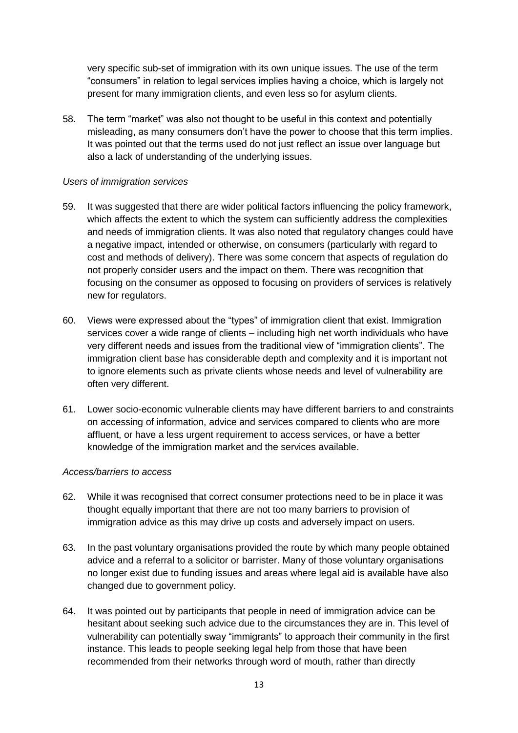very specific sub-set of immigration with its own unique issues. The use of the term "consumers" in relation to legal services implies having a choice, which is largely not present for many immigration clients, and even less so for asylum clients.

58. The term "market" was also not thought to be useful in this context and potentially misleading, as many consumers don't have the power to choose that this term implies. It was pointed out that the terms used do not just reflect an issue over language but also a lack of understanding of the underlying issues.

#### *Users of immigration services*

- 59. It was suggested that there are wider political factors influencing the policy framework, which affects the extent to which the system can sufficiently address the complexities and needs of immigration clients. It was also noted that regulatory changes could have a negative impact, intended or otherwise, on consumers (particularly with regard to cost and methods of delivery). There was some concern that aspects of regulation do not properly consider users and the impact on them. There was recognition that focusing on the consumer as opposed to focusing on providers of services is relatively new for regulators.
- 60. Views were expressed about the "types" of immigration client that exist. Immigration services cover a wide range of clients – including high net worth individuals who have very different needs and issues from the traditional view of "immigration clients". The immigration client base has considerable depth and complexity and it is important not to ignore elements such as private clients whose needs and level of vulnerability are often very different.
- 61. Lower socio-economic vulnerable clients may have different barriers to and constraints on accessing of information, advice and services compared to clients who are more affluent, or have a less urgent requirement to access services, or have a better knowledge of the immigration market and the services available.

#### *Access/barriers to access*

- 62. While it was recognised that correct consumer protections need to be in place it was thought equally important that there are not too many barriers to provision of immigration advice as this may drive up costs and adversely impact on users.
- 63. In the past voluntary organisations provided the route by which many people obtained advice and a referral to a solicitor or barrister. Many of those voluntary organisations no longer exist due to funding issues and areas where legal aid is available have also changed due to government policy.
- 64. It was pointed out by participants that people in need of immigration advice can be hesitant about seeking such advice due to the circumstances they are in. This level of vulnerability can potentially sway "immigrants" to approach their community in the first instance. This leads to people seeking legal help from those that have been recommended from their networks through word of mouth, rather than directly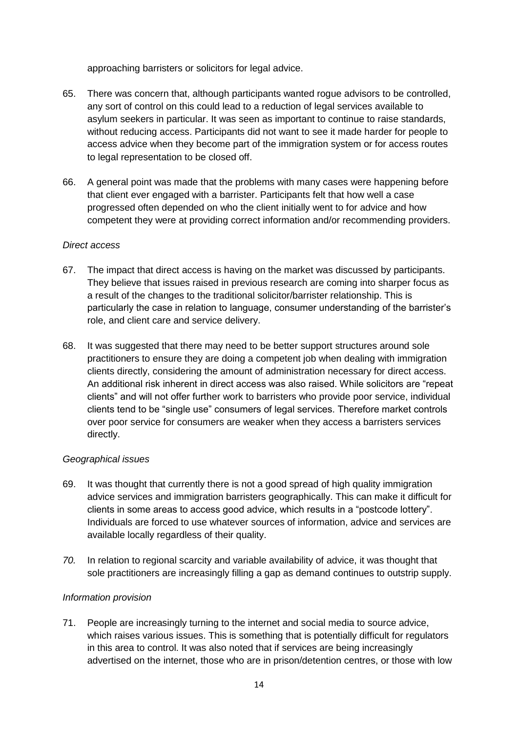approaching barristers or solicitors for legal advice.

- 65. There was concern that, although participants wanted rogue advisors to be controlled, any sort of control on this could lead to a reduction of legal services available to asylum seekers in particular. It was seen as important to continue to raise standards, without reducing access. Participants did not want to see it made harder for people to access advice when they become part of the immigration system or for access routes to legal representation to be closed off.
- 66. A general point was made that the problems with many cases were happening before that client ever engaged with a barrister. Participants felt that how well a case progressed often depended on who the client initially went to for advice and how competent they were at providing correct information and/or recommending providers.

#### *Direct access*

- 67. The impact that direct access is having on the market was discussed by participants. They believe that issues raised in previous research are coming into sharper focus as a result of the changes to the traditional solicitor/barrister relationship. This is particularly the case in relation to language, consumer understanding of the barrister's role, and client care and service delivery.
- 68. It was suggested that there may need to be better support structures around sole practitioners to ensure they are doing a competent job when dealing with immigration clients directly, considering the amount of administration necessary for direct access. An additional risk inherent in direct access was also raised. While solicitors are "repeat clients" and will not offer further work to barristers who provide poor service, individual clients tend to be "single use" consumers of legal services. Therefore market controls over poor service for consumers are weaker when they access a barristers services directly.

#### *Geographical issues*

- 69. It was thought that currently there is not a good spread of high quality immigration advice services and immigration barristers geographically. This can make it difficult for clients in some areas to access good advice, which results in a "postcode lottery". Individuals are forced to use whatever sources of information, advice and services are available locally regardless of their quality.
- *70.* In relation to regional scarcity and variable availability of advice, it was thought that sole practitioners are increasingly filling a gap as demand continues to outstrip supply.

## *Information provision*

71. People are increasingly turning to the internet and social media to source advice, which raises various issues. This is something that is potentially difficult for regulators in this area to control. It was also noted that if services are being increasingly advertised on the internet, those who are in prison/detention centres, or those with low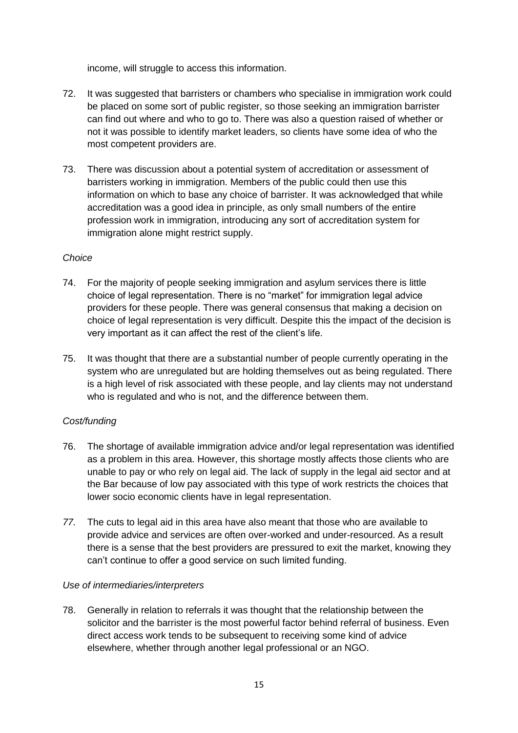income, will struggle to access this information.

- 72. It was suggested that barristers or chambers who specialise in immigration work could be placed on some sort of public register, so those seeking an immigration barrister can find out where and who to go to. There was also a question raised of whether or not it was possible to identify market leaders, so clients have some idea of who the most competent providers are.
- 73. There was discussion about a potential system of accreditation or assessment of barristers working in immigration. Members of the public could then use this information on which to base any choice of barrister. It was acknowledged that while accreditation was a good idea in principle, as only small numbers of the entire profession work in immigration, introducing any sort of accreditation system for immigration alone might restrict supply.

## *Choice*

- 74. For the majority of people seeking immigration and asylum services there is little choice of legal representation. There is no "market" for immigration legal advice providers for these people. There was general consensus that making a decision on choice of legal representation is very difficult. Despite this the impact of the decision is very important as it can affect the rest of the client's life.
- 75. It was thought that there are a substantial number of people currently operating in the system who are unregulated but are holding themselves out as being regulated. There is a high level of risk associated with these people, and lay clients may not understand who is regulated and who is not, and the difference between them.

## *Cost/funding*

- 76. The shortage of available immigration advice and/or legal representation was identified as a problem in this area. However, this shortage mostly affects those clients who are unable to pay or who rely on legal aid. The lack of supply in the legal aid sector and at the Bar because of low pay associated with this type of work restricts the choices that lower socio economic clients have in legal representation.
- *77.* The cuts to legal aid in this area have also meant that those who are available to provide advice and services are often over-worked and under-resourced. As a result there is a sense that the best providers are pressured to exit the market, knowing they can't continue to offer a good service on such limited funding.

#### *Use of intermediaries/interpreters*

78. Generally in relation to referrals it was thought that the relationship between the solicitor and the barrister is the most powerful factor behind referral of business. Even direct access work tends to be subsequent to receiving some kind of advice elsewhere, whether through another legal professional or an NGO.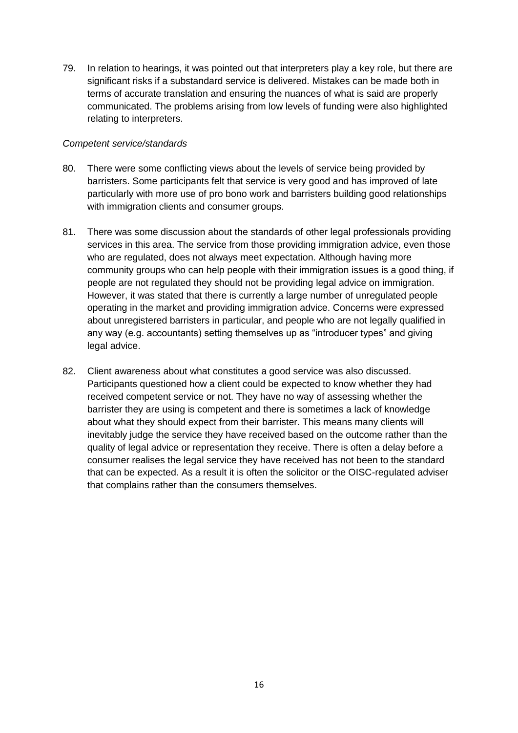79. In relation to hearings, it was pointed out that interpreters play a key role, but there are significant risks if a substandard service is delivered. Mistakes can be made both in terms of accurate translation and ensuring the nuances of what is said are properly communicated. The problems arising from low levels of funding were also highlighted relating to interpreters.

#### *Competent service/standards*

- 80. There were some conflicting views about the levels of service being provided by barristers. Some participants felt that service is very good and has improved of late particularly with more use of pro bono work and barristers building good relationships with immigration clients and consumer groups.
- 81. There was some discussion about the standards of other legal professionals providing services in this area. The service from those providing immigration advice, even those who are regulated, does not always meet expectation. Although having more community groups who can help people with their immigration issues is a good thing, if people are not regulated they should not be providing legal advice on immigration. However, it was stated that there is currently a large number of unregulated people operating in the market and providing immigration advice. Concerns were expressed about unregistered barristers in particular, and people who are not legally qualified in any way (e.g. accountants) setting themselves up as "introducer types" and giving legal advice.
- 82. Client awareness about what constitutes a good service was also discussed. Participants questioned how a client could be expected to know whether they had received competent service or not. They have no way of assessing whether the barrister they are using is competent and there is sometimes a lack of knowledge about what they should expect from their barrister. This means many clients will inevitably judge the service they have received based on the outcome rather than the quality of legal advice or representation they receive. There is often a delay before a consumer realises the legal service they have received has not been to the standard that can be expected. As a result it is often the solicitor or the OISC-regulated adviser that complains rather than the consumers themselves.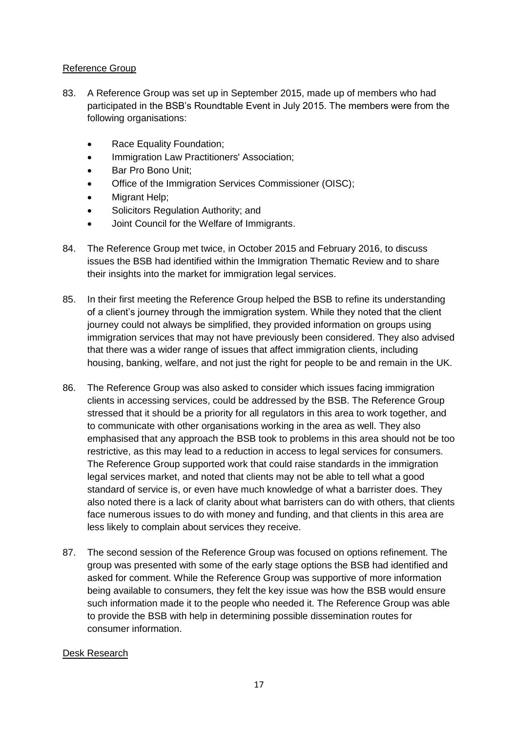### Reference Group

- 83. A Reference Group was set up in September 2015, made up of members who had participated in the BSB's Roundtable Event in July 2015. The members were from the following organisations:
	- Race Equality Foundation;
	- Immigration Law Practitioners' Association;
	- Bar Pro Bono Unit;
	- Office of the Immigration Services Commissioner (OISC);
	- Migrant Help;
	- Solicitors Regulation Authority; and
	- Joint Council for the Welfare of Immigrants.
- 84. The Reference Group met twice, in October 2015 and February 2016, to discuss issues the BSB had identified within the Immigration Thematic Review and to share their insights into the market for immigration legal services.
- 85. In their first meeting the Reference Group helped the BSB to refine its understanding of a client's journey through the immigration system. While they noted that the client journey could not always be simplified, they provided information on groups using immigration services that may not have previously been considered. They also advised that there was a wider range of issues that affect immigration clients, including housing, banking, welfare, and not just the right for people to be and remain in the UK.
- 86. The Reference Group was also asked to consider which issues facing immigration clients in accessing services, could be addressed by the BSB. The Reference Group stressed that it should be a priority for all regulators in this area to work together, and to communicate with other organisations working in the area as well. They also emphasised that any approach the BSB took to problems in this area should not be too restrictive, as this may lead to a reduction in access to legal services for consumers. The Reference Group supported work that could raise standards in the immigration legal services market, and noted that clients may not be able to tell what a good standard of service is, or even have much knowledge of what a barrister does. They also noted there is a lack of clarity about what barristers can do with others, that clients face numerous issues to do with money and funding, and that clients in this area are less likely to complain about services they receive.
- 87. The second session of the Reference Group was focused on options refinement. The group was presented with some of the early stage options the BSB had identified and asked for comment. While the Reference Group was supportive of more information being available to consumers, they felt the key issue was how the BSB would ensure such information made it to the people who needed it. The Reference Group was able to provide the BSB with help in determining possible dissemination routes for consumer information.

#### Desk Research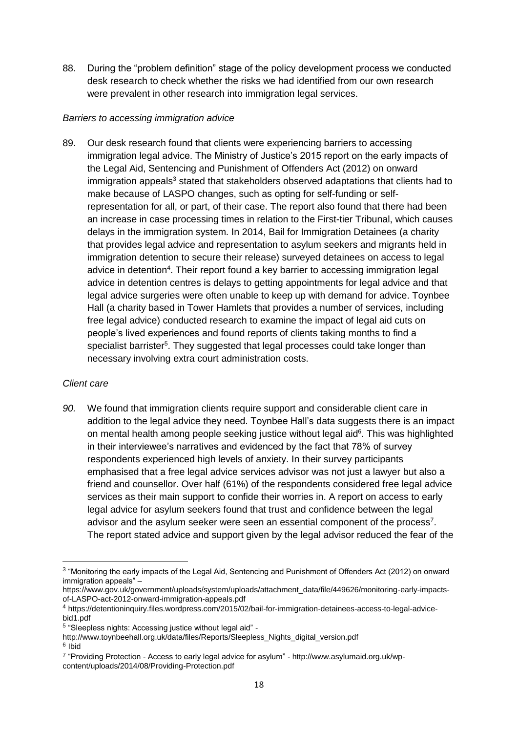88. During the "problem definition" stage of the policy development process we conducted desk research to check whether the risks we had identified from our own research were prevalent in other research into immigration legal services.

#### *Barriers to accessing immigration advice*

89. Our desk research found that clients were experiencing barriers to accessing immigration legal advice. The Ministry of Justice's 2015 report on the early impacts of the Legal Aid, Sentencing and Punishment of Offenders Act (2012) on onward immigration appeals<sup>3</sup> stated that stakeholders observed adaptations that clients had to make because of LASPO changes, such as opting for self-funding or selfrepresentation for all, or part, of their case. The report also found that there had been an increase in case processing times in relation to the First-tier Tribunal, which causes delays in the immigration system. In 2014, Bail for Immigration Detainees (a charity that provides legal advice and representation to asylum seekers and migrants held in immigration detention to secure their release) surveyed detainees on access to legal advice in detention<sup>4</sup>. Their report found a key barrier to accessing immigration legal advice in detention centres is delays to getting appointments for legal advice and that legal advice surgeries were often unable to keep up with demand for advice. Toynbee Hall (a charity based in Tower Hamlets that provides a number of services, including free legal advice) conducted research to examine the impact of legal aid cuts on people's lived experiences and found reports of clients taking months to find a specialist barrister<sup>5</sup>. They suggested that legal processes could take longer than necessary involving extra court administration costs.

#### *Client care*

1

*90.* We found that immigration clients require support and considerable client care in addition to the legal advice they need. Toynbee Hall's data suggests there is an impact on mental health among people seeking justice without legal aid<sup>6</sup>. This was highlighted in their interviewee's narratives and evidenced by the fact that 78% of survey respondents experienced high levels of anxiety. In their survey participants emphasised that a free legal advice services advisor was not just a lawyer but also a friend and counsellor. Over half (61%) of the respondents considered free legal advice services as their main support to confide their worries in. A report on access to early legal advice for asylum seekers found that trust and confidence between the legal advisor and the asylum seeker were seen an essential component of the process<sup>7</sup>. The report stated advice and support given by the legal advisor reduced the fear of the

<sup>&</sup>lt;sup>3</sup> "Monitoring the early impacts of the Legal Aid, Sentencing and Punishment of Offenders Act (2012) on onward immigration appeals" –

https://www.gov.uk/government/uploads/system/uploads/attachment\_data/file/449626/monitoring-early-impactsof-LASPO-act-2012-onward-immigration-appeals.pdf

<sup>4</sup> https://detentioninquiry.files.wordpress.com/2015/02/bail-for-immigration-detainees-access-to-legal-advicebid1.pdf

<sup>5</sup> "Sleepless nights: Accessing justice without legal aid" -

http://www.toynbeehall.org.uk/data/files/Reports/Sleepless\_Nights\_digital\_version.pdf 6 Ibid

<sup>7</sup> "Providing Protection - Access to early legal advice for asylum" - http://www.asylumaid.org.uk/wpcontent/uploads/2014/08/Providing-Protection.pdf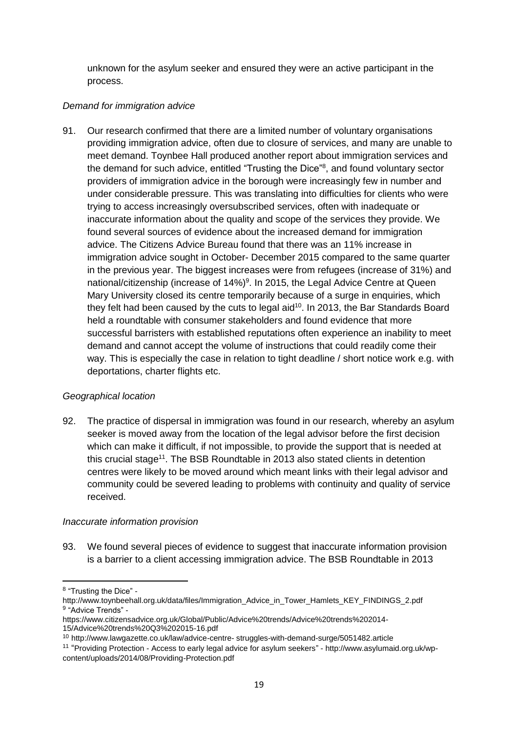unknown for the asylum seeker and ensured they were an active participant in the process.

### *Demand for immigration advice*

91. Our research confirmed that there are a limited number of voluntary organisations providing immigration advice, often due to closure of services, and many are unable to meet demand. Toynbee Hall produced another report about immigration services and the demand for such advice, entitled "Trusting the Dice"<sup>8</sup>, and found voluntary sector providers of immigration advice in the borough were increasingly few in number and under considerable pressure. This was translating into difficulties for clients who were trying to access increasingly oversubscribed services, often with inadequate or inaccurate information about the quality and scope of the services they provide. We found several sources of evidence about the increased demand for immigration advice. The Citizens Advice Bureau found that there was an 11% increase in immigration advice sought in October- December 2015 compared to the same quarter in the previous year. The biggest increases were from refugees (increase of 31%) and national/citizenship (increase of 14%)<sup>9</sup>. In 2015, the Legal Advice Centre at Queen Mary University closed its centre temporarily because of a surge in enquiries, which they felt had been caused by the cuts to legal aid<sup>10</sup>. In 2013, the Bar Standards Board held a roundtable with consumer stakeholders and found evidence that more successful barristers with established reputations often experience an inability to meet demand and cannot accept the volume of instructions that could readily come their way. This is especially the case in relation to tight deadline / short notice work e.g. with deportations, charter flights etc.

## *Geographical location*

92. The practice of dispersal in immigration was found in our research, whereby an asylum seeker is moved away from the location of the legal advisor before the first decision which can make it difficult, if not impossible, to provide the support that is needed at this crucial stage<sup>11</sup>. The BSB Roundtable in 2013 also stated clients in detention centres were likely to be moved around which meant links with their legal advisor and community could be severed leading to problems with continuity and quality of service received.

#### *Inaccurate information provision*

93. We found several pieces of evidence to suggest that inaccurate information provision is a barrier to a client accessing immigration advice. The BSB Roundtable in 2013

<sup>1</sup> <sup>8</sup> "Trusting the Dice" -

http://www.toynbeehall.org.uk/data/files/Immigration\_Advice\_in\_Tower\_Hamlets\_KEY\_FINDINGS\_2.pdf <sup>9</sup> "Advice Trends" -

https://www.citizensadvice.org.uk/Global/Public/Advice%20trends/Advice%20trends%202014- 15/Advice%20trends%20Q3%202015-16.pdf

<sup>10</sup> http://www.lawgazette.co.uk/law/advice-centre- struggles-with-demand-surge/5051482.article

<sup>11</sup> "Providing Protection - Access to early legal advice for asylum seekers" - http://www.asylumaid.org.uk/wpcontent/uploads/2014/08/Providing-Protection.pdf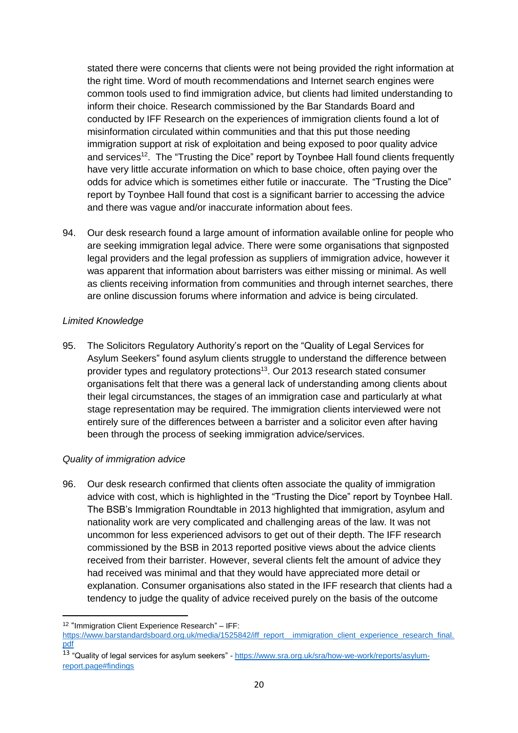stated there were concerns that clients were not being provided the right information at the right time. Word of mouth recommendations and Internet search engines were common tools used to find immigration advice, but clients had limited understanding to inform their choice. Research commissioned by the Bar Standards Board and conducted by IFF Research on the experiences of immigration clients found a lot of misinformation circulated within communities and that this put those needing immigration support at risk of exploitation and being exposed to poor quality advice and services<sup>12</sup>. The "Trusting the Dice" report by Toynbee Hall found clients frequently have very little accurate information on which to base choice, often paying over the odds for advice which is sometimes either futile or inaccurate. The "Trusting the Dice" report by Toynbee Hall found that cost is a significant barrier to accessing the advice and there was vague and/or inaccurate information about fees.

94. Our desk research found a large amount of information available online for people who are seeking immigration legal advice. There were some organisations that signposted legal providers and the legal profession as suppliers of immigration advice, however it was apparent that information about barristers was either missing or minimal. As well as clients receiving information from communities and through internet searches, there are online discussion forums where information and advice is being circulated.

#### *Limited Knowledge*

95. The Solicitors Regulatory Authority's report on the "Quality of Legal Services for Asylum Seekers" found asylum clients struggle to understand the difference between provider types and regulatory protections<sup>13</sup>. Our 2013 research stated consumer organisations felt that there was a general lack of understanding among clients about their legal circumstances, the stages of an immigration case and particularly at what stage representation may be required. The immigration clients interviewed were not entirely sure of the differences between a barrister and a solicitor even after having been through the process of seeking immigration advice/services.

## *Quality of immigration advice*

96. Our desk research confirmed that clients often associate the quality of immigration advice with cost, which is highlighted in the "Trusting the Dice" report by Toynbee Hall. The BSB's Immigration Roundtable in 2013 highlighted that immigration, asylum and nationality work are very complicated and challenging areas of the law. It was not uncommon for less experienced advisors to get out of their depth. The IFF research commissioned by the BSB in 2013 reported positive views about the advice clients received from their barrister. However, several clients felt the amount of advice they had received was minimal and that they would have appreciated more detail or explanation. Consumer organisations also stated in the IFF research that clients had a tendency to judge the quality of advice received purely on the basis of the outcome

**<sup>.</sup>** 12 "Immigration Client Experience Research" – IFF:

https://www.barstandardsboard.org.uk/media/1525842/iff\_report\_immigration\_client\_experience\_research\_final. [pdf](https://www.barstandardsboard.org.uk/media/1525842/iff_report__immigration_client_experience_research_final.pdf)

<sup>13 &</sup>quot;Quality of legal services for asylum seekers" - [https://www.sra.org.uk/sra/how-we-work/reports/asylum](https://www.sra.org.uk/sra/how-we-work/reports/asylum-report.page#findings)[report.page#findings](https://www.sra.org.uk/sra/how-we-work/reports/asylum-report.page#findings)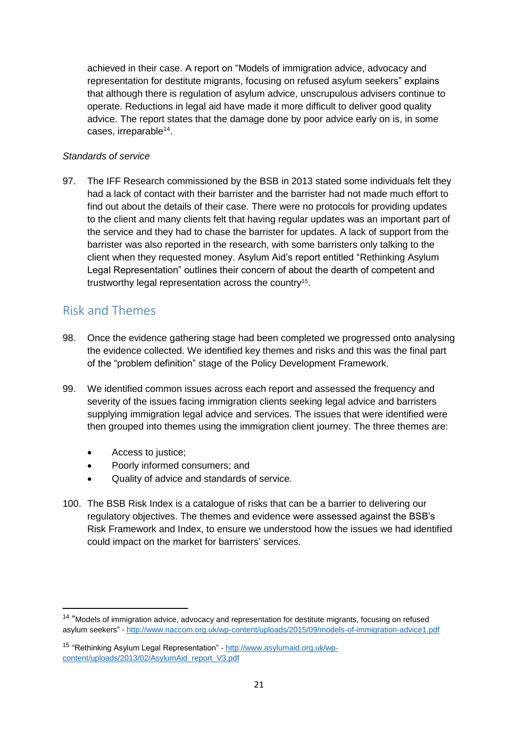achieved in their case. A report on "Models of immigration advice, advocacy and representation for destitute migrants, focusing on refused asylum seekers" explains that although there is regulation of asylum advice, unscrupulous advisers continue to operate. Reductions in legal aid have made it more difficult to deliver good quality advice. The report states that the damage done by poor advice early on is, in some cases, irreparable<sup>14</sup>.

#### *Standards of service*

97. The IFF Research commissioned by the BSB in 2013 stated some individuals felt they had a lack of contact with their barrister and the barrister had not made much effort to find out about the details of their case. There were no protocols for providing updates to the client and many clients felt that having regular updates was an important part of the service and they had to chase the barrister for updates. A lack of support from the barrister was also reported in the research, with some barristers only talking to the client when they requested money. Asylum Aid's report entitled "Rethinking Asylum Legal Representation" outlines their concern of about the dearth of competent and trustworthy legal representation across the country<sup>15</sup>.

## <span id="page-22-0"></span>Risk and Themes

1

- 98. Once the evidence gathering stage had been completed we progressed onto analysing the evidence collected. We identified key themes and risks and this was the final part of the "problem definition" stage of the Policy Development Framework.
- 99. We identified common issues across each report and assessed the frequency and severity of the issues facing immigration clients seeking legal advice and barristers supplying immigration legal advice and services. The issues that were identified were then grouped into themes using the immigration client journey. The three themes are:
	- Access to justice;
	- Poorly informed consumers; and
	- Quality of advice and standards of service.
- 100. The BSB Risk Index is a catalogue of risks that can be a barrier to delivering our regulatory objectives. The themes and evidence were assessed against the BSB's Risk Framework and Index, to ensure we understood how the issues we had identified could impact on the market for barristers' services.

<sup>&</sup>lt;sup>14</sup> "Models of immigration advice, advocacy and representation for destitute migrants, focusing on refused asylum seekers" - <http://www.naccom.org.uk/wp-content/uploads/2015/09/models-of-immigration-advice1.pdf>

<sup>15</sup> "Rethinking Asylum Legal Representation" - [http://www.asylumaid.org.uk/wp](http://www.asylumaid.org.uk/wp-content/uploads/2013/02/AsylumAid_report_V3.pdf)[content/uploads/2013/02/AsylumAid\\_report\\_V3.pdf](http://www.asylumaid.org.uk/wp-content/uploads/2013/02/AsylumAid_report_V3.pdf)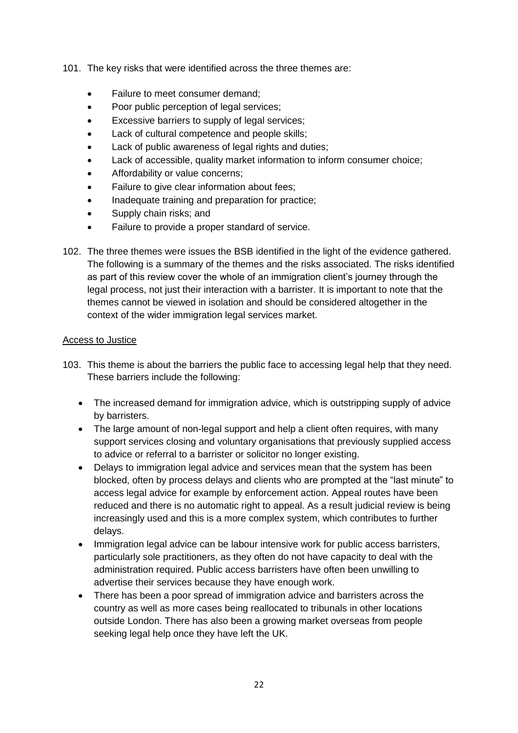- 101. The key risks that were identified across the three themes are:
	- Failure to meet consumer demand;
	- Poor public perception of legal services;
	- Excessive barriers to supply of legal services;
	- Lack of cultural competence and people skills;
	- Lack of public awareness of legal rights and duties;
	- Lack of accessible, quality market information to inform consumer choice;
	- Affordability or value concerns;
	- Failure to give clear information about fees;
	- Inadequate training and preparation for practice;
	- Supply chain risks; and
	- Failure to provide a proper standard of service.
- 102. The three themes were issues the BSB identified in the light of the evidence gathered. The following is a summary of the themes and the risks associated. The risks identified as part of this review cover the whole of an immigration client's journey through the legal process, not just their interaction with a barrister. It is important to note that the themes cannot be viewed in isolation and should be considered altogether in the context of the wider immigration legal services market.

#### Access to Justice

- 103. This theme is about the barriers the public face to accessing legal help that they need. These barriers include the following:
	- The increased demand for immigration advice, which is outstripping supply of advice by barristers.
	- The large amount of non-legal support and help a client often requires, with many support services closing and voluntary organisations that previously supplied access to advice or referral to a barrister or solicitor no longer existing.
	- Delays to immigration legal advice and services mean that the system has been blocked, often by process delays and clients who are prompted at the "last minute" to access legal advice for example by enforcement action. Appeal routes have been reduced and there is no automatic right to appeal. As a result judicial review is being increasingly used and this is a more complex system, which contributes to further delays.
	- Immigration legal advice can be labour intensive work for public access barristers, particularly sole practitioners, as they often do not have capacity to deal with the administration required. Public access barristers have often been unwilling to advertise their services because they have enough work.
	- There has been a poor spread of immigration advice and barristers across the country as well as more cases being reallocated to tribunals in other locations outside London. There has also been a growing market overseas from people seeking legal help once they have left the UK.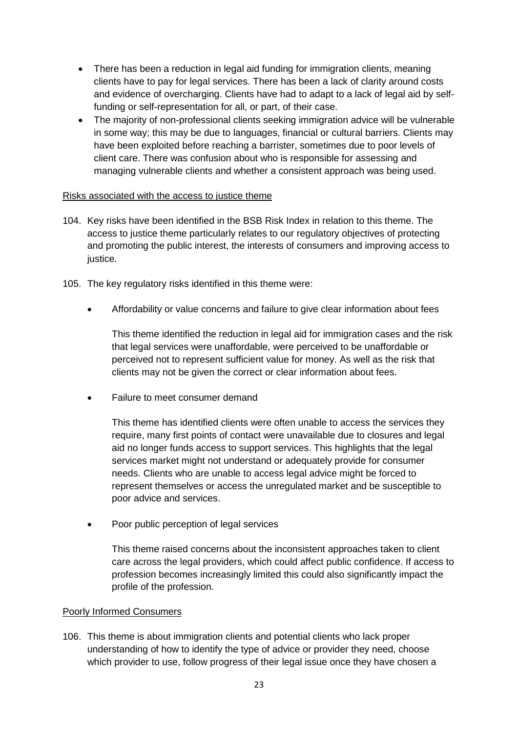- There has been a reduction in legal aid funding for immigration clients, meaning clients have to pay for legal services. There has been a lack of clarity around costs and evidence of overcharging. Clients have had to adapt to a lack of legal aid by selffunding or self-representation for all, or part, of their case.
- The majority of non-professional clients seeking immigration advice will be vulnerable in some way; this may be due to languages, financial or cultural barriers. Clients may have been exploited before reaching a barrister, sometimes due to poor levels of client care. There was confusion about who is responsible for assessing and managing vulnerable clients and whether a consistent approach was being used.

#### Risks associated with the access to justice theme

- 104. Key risks have been identified in the BSB Risk Index in relation to this theme. The access to justice theme particularly relates to our regulatory objectives of protecting and promoting the public interest, the interests of consumers and improving access to justice.
- 105. The key regulatory risks identified in this theme were:
	- Affordability or value concerns and failure to give clear information about fees

This theme identified the reduction in legal aid for immigration cases and the risk that legal services were unaffordable, were perceived to be unaffordable or perceived not to represent sufficient value for money. As well as the risk that clients may not be given the correct or clear information about fees.

Failure to meet consumer demand

This theme has identified clients were often unable to access the services they require, many first points of contact were unavailable due to closures and legal aid no longer funds access to support services. This highlights that the legal services market might not understand or adequately provide for consumer needs. Clients who are unable to access legal advice might be forced to represent themselves or access the unregulated market and be susceptible to poor advice and services.

• Poor public perception of legal services

This theme raised concerns about the inconsistent approaches taken to client care across the legal providers, which could affect public confidence. If access to profession becomes increasingly limited this could also significantly impact the profile of the profession.

#### Poorly Informed Consumers

106. This theme is about immigration clients and potential clients who lack proper understanding of how to identify the type of advice or provider they need, choose which provider to use, follow progress of their legal issue once they have chosen a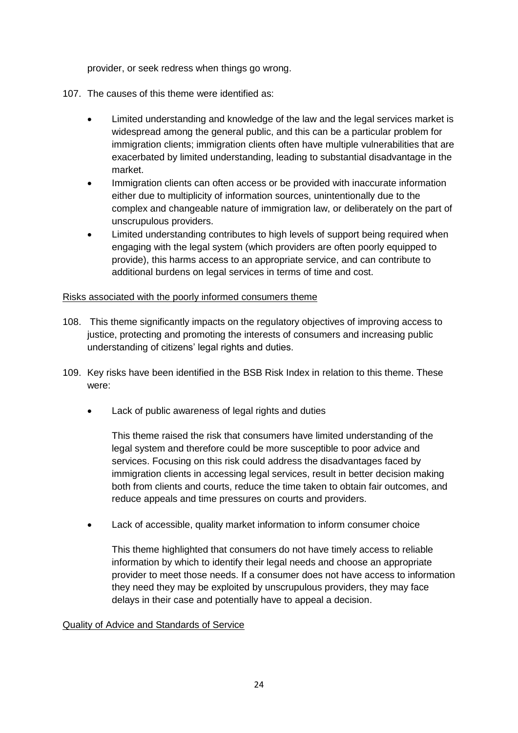provider, or seek redress when things go wrong.

- 107. The causes of this theme were identified as:
	- Limited understanding and knowledge of the law and the legal services market is widespread among the general public, and this can be a particular problem for immigration clients; immigration clients often have multiple vulnerabilities that are exacerbated by limited understanding, leading to substantial disadvantage in the market.
	- Immigration clients can often access or be provided with inaccurate information either due to multiplicity of information sources, unintentionally due to the complex and changeable nature of immigration law, or deliberately on the part of unscrupulous providers.
	- Limited understanding contributes to high levels of support being required when engaging with the legal system (which providers are often poorly equipped to provide), this harms access to an appropriate service, and can contribute to additional burdens on legal services in terms of time and cost.

#### Risks associated with the poorly informed consumers theme

- 108. This theme significantly impacts on the regulatory objectives of improving access to justice, protecting and promoting the interests of consumers and increasing public understanding of citizens' legal rights and duties.
- 109. Key risks have been identified in the BSB Risk Index in relation to this theme. These were:
	- Lack of public awareness of legal rights and duties

This theme raised the risk that consumers have limited understanding of the legal system and therefore could be more susceptible to poor advice and services. Focusing on this risk could address the disadvantages faced by immigration clients in accessing legal services, result in better decision making both from clients and courts, reduce the time taken to obtain fair outcomes, and reduce appeals and time pressures on courts and providers.

Lack of accessible, quality market information to inform consumer choice

This theme highlighted that consumers do not have timely access to reliable information by which to identify their legal needs and choose an appropriate provider to meet those needs. If a consumer does not have access to information they need they may be exploited by unscrupulous providers, they may face delays in their case and potentially have to appeal a decision.

## Quality of Advice and Standards of Service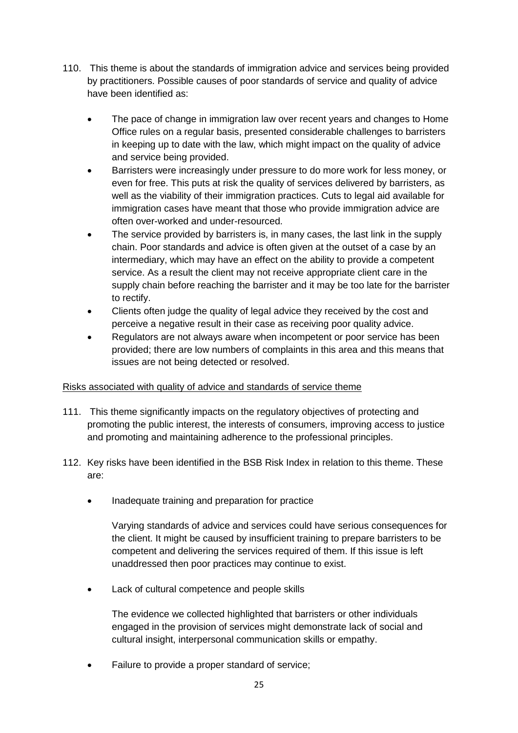- 110. This theme is about the standards of immigration advice and services being provided by practitioners. Possible causes of poor standards of service and quality of advice have been identified as:
	- The pace of change in immigration law over recent years and changes to Home Office rules on a regular basis, presented considerable challenges to barristers in keeping up to date with the law, which might impact on the quality of advice and service being provided.
	- Barristers were increasingly under pressure to do more work for less money, or even for free. This puts at risk the quality of services delivered by barristers, as well as the viability of their immigration practices. Cuts to legal aid available for immigration cases have meant that those who provide immigration advice are often over-worked and under-resourced.
	- The service provided by barristers is, in many cases, the last link in the supply chain. Poor standards and advice is often given at the outset of a case by an intermediary, which may have an effect on the ability to provide a competent service. As a result the client may not receive appropriate client care in the supply chain before reaching the barrister and it may be too late for the barrister to rectify.
	- Clients often judge the quality of legal advice they received by the cost and perceive a negative result in their case as receiving poor quality advice.
	- Regulators are not always aware when incompetent or poor service has been provided; there are low numbers of complaints in this area and this means that issues are not being detected or resolved.

## Risks associated with quality of advice and standards of service theme

- 111. This theme significantly impacts on the regulatory objectives of protecting and promoting the public interest, the interests of consumers, improving access to justice and promoting and maintaining adherence to the professional principles.
- 112. Key risks have been identified in the BSB Risk Index in relation to this theme. These are:
	- Inadequate training and preparation for practice

Varying standards of advice and services could have serious consequences for the client. It might be caused by insufficient training to prepare barristers to be competent and delivering the services required of them. If this issue is left unaddressed then poor practices may continue to exist.

Lack of cultural competence and people skills

The evidence we collected highlighted that barristers or other individuals engaged in the provision of services might demonstrate lack of social and cultural insight, interpersonal communication skills or empathy.

Failure to provide a proper standard of service;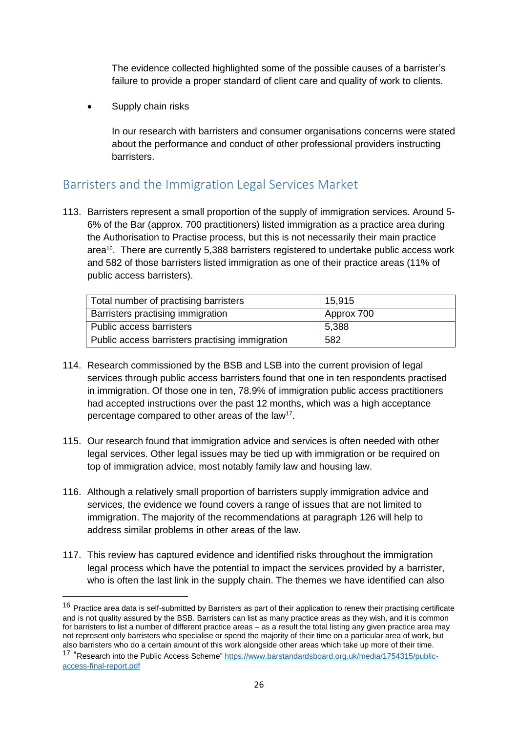The evidence collected highlighted some of the possible causes of a barrister's failure to provide a proper standard of client care and quality of work to clients.

• Supply chain risks

**.** 

In our research with barristers and consumer organisations concerns were stated about the performance and conduct of other professional providers instructing barristers.

## <span id="page-27-0"></span>Barristers and the Immigration Legal Services Market

113. Barristers represent a small proportion of the supply of immigration services. Around 5- 6% of the Bar (approx. 700 practitioners) listed immigration as a practice area during the Authorisation to Practise process, but this is not necessarily their main practice area16. There are currently 5,388 barristers registered to undertake public access work and 582 of those barristers listed immigration as one of their practice areas (11% of public access barristers).

| Total number of practising barristers           | 15.915     |
|-------------------------------------------------|------------|
| Barristers practising immigration               | Approx 700 |
| Public access barristers                        | 5,388      |
| Public access barristers practising immigration | 582        |

- 114. Research commissioned by the BSB and LSB into the current provision of legal services through public access barristers found that one in ten respondents practised in immigration. Of those one in ten, 78.9% of immigration public access practitioners had accepted instructions over the past 12 months, which was a high acceptance percentage compared to other areas of the law<sup>17</sup>.
- 115. Our research found that immigration advice and services is often needed with other legal services. Other legal issues may be tied up with immigration or be required on top of immigration advice, most notably family law and housing law.
- 116. Although a relatively small proportion of barristers supply immigration advice and services, the evidence we found covers a range of issues that are not limited to immigration. The majority of the recommendations at paragraph 126 will help to address similar problems in other areas of the law.
- 117. This review has captured evidence and identified risks throughout the immigration legal process which have the potential to impact the services provided by a barrister, who is often the last link in the supply chain. The themes we have identified can also

 $16$  Practice area data is self-submitted by Barristers as part of their application to renew their practising certificate and is not quality assured by the BSB. Barristers can list as many practice areas as they wish, and it is common for barristers to list a number of different practice areas – as a result the total listing any given practice area may not represent only barristers who specialise or spend the majority of their time on a particular area of work, but also barristers who do a certain amount of this work alongside other areas which take up more of their time.

<sup>&</sup>lt;sup>17</sup> "Research into the Public Access Scheme" [https://www.barstandardsboard.org.uk/media/1754315/public](https://www.barstandardsboard.org.uk/media/1754315/public-access-final-report.pdf)[access-final-report.pdf](https://www.barstandardsboard.org.uk/media/1754315/public-access-final-report.pdf)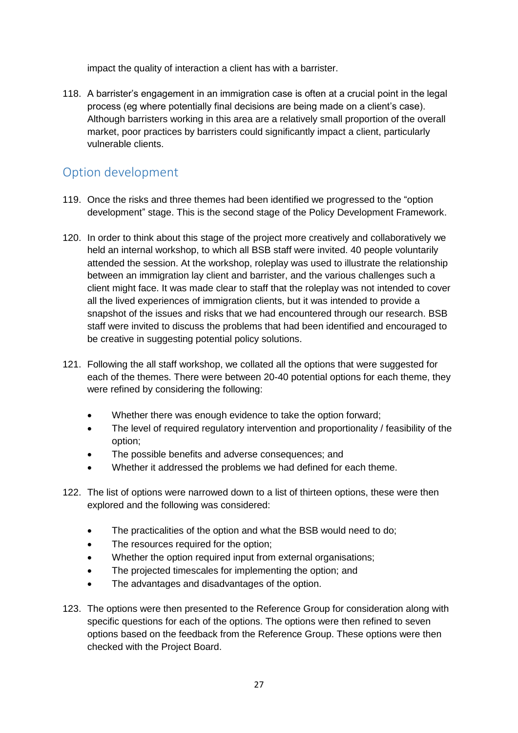impact the quality of interaction a client has with a barrister.

118. A barrister's engagement in an immigration case is often at a crucial point in the legal process (eg where potentially final decisions are being made on a client's case). Although barristers working in this area are a relatively small proportion of the overall market, poor practices by barristers could significantly impact a client, particularly vulnerable clients.

## <span id="page-28-0"></span>Option development

- 119. Once the risks and three themes had been identified we progressed to the "option development" stage. This is the second stage of the Policy Development Framework.
- 120. In order to think about this stage of the project more creatively and collaboratively we held an internal workshop, to which all BSB staff were invited. 40 people voluntarily attended the session. At the workshop, roleplay was used to illustrate the relationship between an immigration lay client and barrister, and the various challenges such a client might face. It was made clear to staff that the roleplay was not intended to cover all the lived experiences of immigration clients, but it was intended to provide a snapshot of the issues and risks that we had encountered through our research. BSB staff were invited to discuss the problems that had been identified and encouraged to be creative in suggesting potential policy solutions.
- 121. Following the all staff workshop, we collated all the options that were suggested for each of the themes. There were between 20-40 potential options for each theme, they were refined by considering the following:
	- Whether there was enough evidence to take the option forward;
	- The level of required requiatory intervention and proportionality / feasibility of the option;
	- The possible benefits and adverse consequences; and
	- Whether it addressed the problems we had defined for each theme.
- 122. The list of options were narrowed down to a list of thirteen options, these were then explored and the following was considered:
	- The practicalities of the option and what the BSB would need to do;
	- The resources required for the option;
	- Whether the option required input from external organisations;
	- The projected timescales for implementing the option; and
	- The advantages and disadvantages of the option.
- 123. The options were then presented to the Reference Group for consideration along with specific questions for each of the options. The options were then refined to seven options based on the feedback from the Reference Group. These options were then checked with the Project Board.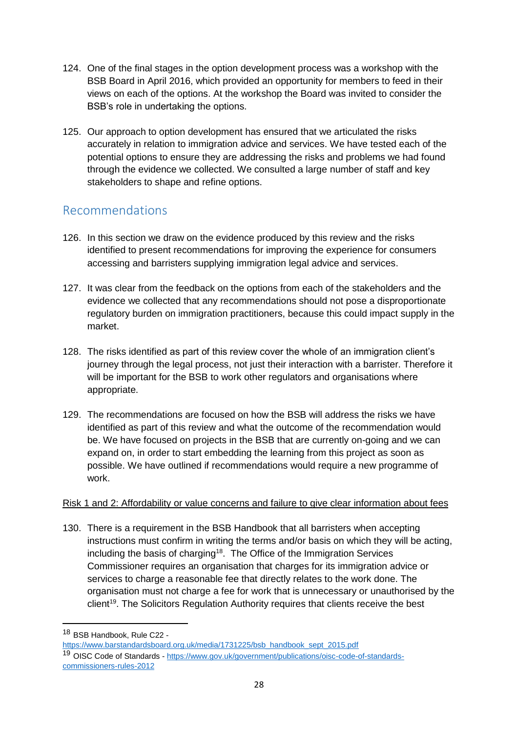- 124. One of the final stages in the option development process was a workshop with the BSB Board in April 2016, which provided an opportunity for members to feed in their views on each of the options. At the workshop the Board was invited to consider the BSB's role in undertaking the options.
- 125. Our approach to option development has ensured that we articulated the risks accurately in relation to immigration advice and services. We have tested each of the potential options to ensure they are addressing the risks and problems we had found through the evidence we collected. We consulted a large number of staff and key stakeholders to shape and refine options.

# <span id="page-29-0"></span>Recommendations

- 126. In this section we draw on the evidence produced by this review and the risks identified to present recommendations for improving the experience for consumers accessing and barristers supplying immigration legal advice and services.
- 127. It was clear from the feedback on the options from each of the stakeholders and the evidence we collected that any recommendations should not pose a disproportionate regulatory burden on immigration practitioners, because this could impact supply in the market.
- 128. The risks identified as part of this review cover the whole of an immigration client's journey through the legal process, not just their interaction with a barrister. Therefore it will be important for the BSB to work other regulators and organisations where appropriate.
- 129. The recommendations are focused on how the BSB will address the risks we have identified as part of this review and what the outcome of the recommendation would be. We have focused on projects in the BSB that are currently on-going and we can expand on, in order to start embedding the learning from this project as soon as possible. We have outlined if recommendations would require a new programme of work.

## Risk 1 and 2: Affordability or value concerns and failure to give clear information about fees

130. There is a requirement in the BSB Handbook that all barristers when accepting instructions must confirm in writing the terms and/or basis on which they will be acting, including the basis of charging<sup>18</sup>. The Office of the Immigration Services Commissioner requires an organisation that charges for its immigration advice or services to charge a reasonable fee that directly relates to the work done. The organisation must not charge a fee for work that is unnecessary or unauthorised by the client<sup>19</sup>. The Solicitors Regulation Authority requires that clients receive the best

1

<sup>18</sup> BSB Handbook, Rule C22 -

[https://www.barstandardsboard.org.uk/media/1731225/bsb\\_handbook\\_sept\\_2015.pdf](https://www.barstandardsboard.org.uk/media/1731225/bsb_handbook_sept_2015.pdf)

<sup>&</sup>lt;sup>19</sup> OISC Code of Standards - [https://www.gov.uk/government/publications/oisc-code-of-standards](https://www.gov.uk/government/publications/oisc-code-of-standards-commissioners-rules-2012)[commissioners-rules-2012](https://www.gov.uk/government/publications/oisc-code-of-standards-commissioners-rules-2012)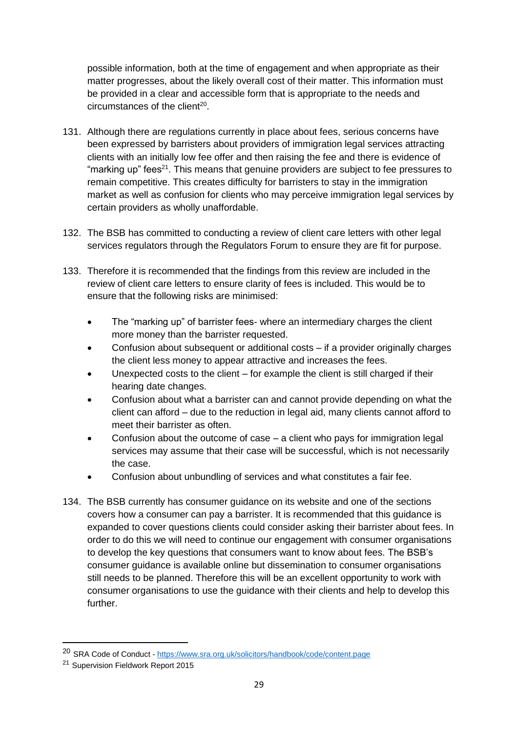possible information, both at the time of engagement and when appropriate as their matter progresses, about the likely overall cost of their matter. This information must be provided in a clear and accessible form that is appropriate to the needs and circumstances of the client<sup>20</sup>.

- 131. Although there are regulations currently in place about fees, serious concerns have been expressed by barristers about providers of immigration legal services attracting clients with an initially low fee offer and then raising the fee and there is evidence of "marking up" fees<sup>21</sup>. This means that genuine providers are subject to fee pressures to remain competitive. This creates difficulty for barristers to stay in the immigration market as well as confusion for clients who may perceive immigration legal services by certain providers as wholly unaffordable.
- 132. The BSB has committed to conducting a review of client care letters with other legal services regulators through the Regulators Forum to ensure they are fit for purpose.
- 133. Therefore it is recommended that the findings from this review are included in the review of client care letters to ensure clarity of fees is included. This would be to ensure that the following risks are minimised:
	- The "marking up" of barrister fees- where an intermediary charges the client more money than the barrister requested.
	- Confusion about subsequent or additional costs if a provider originally charges the client less money to appear attractive and increases the fees.
	- Unexpected costs to the client for example the client is still charged if their hearing date changes.
	- Confusion about what a barrister can and cannot provide depending on what the client can afford – due to the reduction in legal aid, many clients cannot afford to meet their barrister as often.
	- Confusion about the outcome of case a client who pays for immigration legal services may assume that their case will be successful, which is not necessarily the case.
	- Confusion about unbundling of services and what constitutes a fair fee.
- 134. The BSB currently has consumer guidance on its website and one of the sections covers how a consumer can pay a barrister. It is recommended that this guidance is expanded to cover questions clients could consider asking their barrister about fees. In order to do this we will need to continue our engagement with consumer organisations to develop the key questions that consumers want to know about fees. The BSB's consumer guidance is available online but dissemination to consumer organisations still needs to be planned. Therefore this will be an excellent opportunity to work with consumer organisations to use the guidance with their clients and help to develop this further.

**.** 

<sup>20</sup> SRA Code of Conduct - <https://www.sra.org.uk/solicitors/handbook/code/content.page>

<sup>21</sup> Supervision Fieldwork Report 2015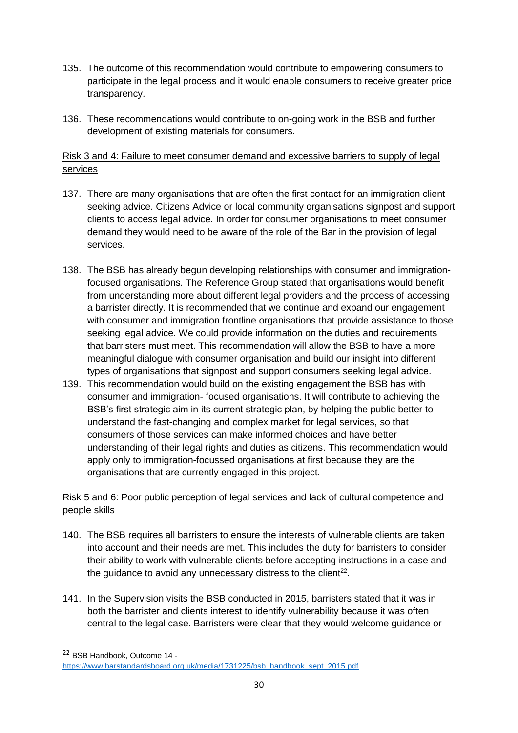- 135. The outcome of this recommendation would contribute to empowering consumers to participate in the legal process and it would enable consumers to receive greater price transparency.
- 136. These recommendations would contribute to on-going work in the BSB and further development of existing materials for consumers.

## Risk 3 and 4: Failure to meet consumer demand and excessive barriers to supply of legal services

- 137. There are many organisations that are often the first contact for an immigration client seeking advice. Citizens Advice or local community organisations signpost and support clients to access legal advice. In order for consumer organisations to meet consumer demand they would need to be aware of the role of the Bar in the provision of legal services.
- 138. The BSB has already begun developing relationships with consumer and immigrationfocused organisations. The Reference Group stated that organisations would benefit from understanding more about different legal providers and the process of accessing a barrister directly. It is recommended that we continue and expand our engagement with consumer and immigration frontline organisations that provide assistance to those seeking legal advice. We could provide information on the duties and requirements that barristers must meet. This recommendation will allow the BSB to have a more meaningful dialogue with consumer organisation and build our insight into different types of organisations that signpost and support consumers seeking legal advice.
- 139. This recommendation would build on the existing engagement the BSB has with consumer and immigration- focused organisations. It will contribute to achieving the BSB's first strategic aim in its current strategic plan, by helping the public better to understand the fast-changing and complex market for legal services, so that consumers of those services can make informed choices and have better understanding of their legal rights and duties as citizens. This recommendation would apply only to immigration-focussed organisations at first because they are the organisations that are currently engaged in this project.

## Risk 5 and 6: Poor public perception of legal services and lack of cultural competence and people skills

- 140. The BSB requires all barristers to ensure the interests of vulnerable clients are taken into account and their needs are met. This includes the duty for barristers to consider their ability to work with vulnerable clients before accepting instructions in a case and the guidance to avoid any unnecessary distress to the client $22$ .
- 141. In the Supervision visits the BSB conducted in 2015, barristers stated that it was in both the barrister and clients interest to identify vulnerability because it was often central to the legal case. Barristers were clear that they would welcome guidance or

**.** 

<sup>22</sup> BSB Handbook, Outcome 14 -

[https://www.barstandardsboard.org.uk/media/1731225/bsb\\_handbook\\_sept\\_2015.pdf](https://www.barstandardsboard.org.uk/media/1731225/bsb_handbook_sept_2015.pdf)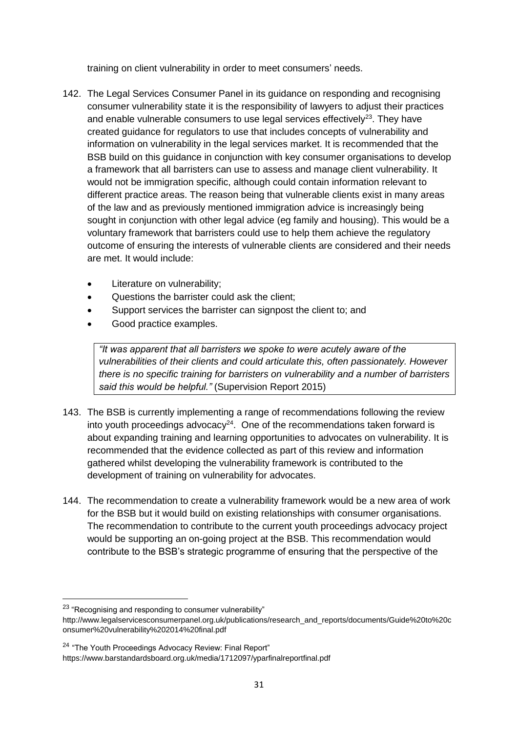training on client vulnerability in order to meet consumers' needs.

- 142. The Legal Services Consumer Panel in its guidance on responding and recognising consumer vulnerability state it is the responsibility of lawyers to adjust their practices and enable vulnerable consumers to use legal services effectively $^{23}$ . They have created guidance for regulators to use that includes concepts of vulnerability and information on vulnerability in the legal services market. It is recommended that the BSB build on this guidance in conjunction with key consumer organisations to develop a framework that all barristers can use to assess and manage client vulnerability. It would not be immigration specific, although could contain information relevant to different practice areas. The reason being that vulnerable clients exist in many areas of the law and as previously mentioned immigration advice is increasingly being sought in conjunction with other legal advice (eg family and housing). This would be a voluntary framework that barristers could use to help them achieve the regulatory outcome of ensuring the interests of vulnerable clients are considered and their needs are met. It would include:
	- Literature on vulnerability;
	- Questions the barrister could ask the client;
	- Support services the barrister can signpost the client to; and
	- Good practice examples.

*"It was apparent that all barristers we spoke to were acutely aware of the vulnerabilities of their clients and could articulate this, often passionately. However there is no specific training for barristers on vulnerability and a number of barristers said this would be helpful."* (Supervision Report 2015)

- 143. The BSB is currently implementing a range of recommendations following the review into youth proceedings advocacy $24$ . One of the recommendations taken forward is about expanding training and learning opportunities to advocates on vulnerability. It is recommended that the evidence collected as part of this review and information gathered whilst developing the vulnerability framework is contributed to the development of training on vulnerability for advocates.
- 144. The recommendation to create a vulnerability framework would be a new area of work for the BSB but it would build on existing relationships with consumer organisations. The recommendation to contribute to the current youth proceedings advocacy project would be supporting an on-going project at the BSB. This recommendation would contribute to the BSB's strategic programme of ensuring that the perspective of the

 $\overline{a}$ 

<sup>&</sup>lt;sup>23</sup> "Recognising and responding to consumer vulnerability"

http://www.legalservicesconsumerpanel.org.uk/publications/research\_and\_reports/documents/Guide%20to%20c onsumer%20vulnerability%202014%20final.pdf

<sup>&</sup>lt;sup>24</sup> "The Youth Proceedings Advocacy Review: Final Report"

https://www.barstandardsboard.org.uk/media/1712097/yparfinalreportfinal.pdf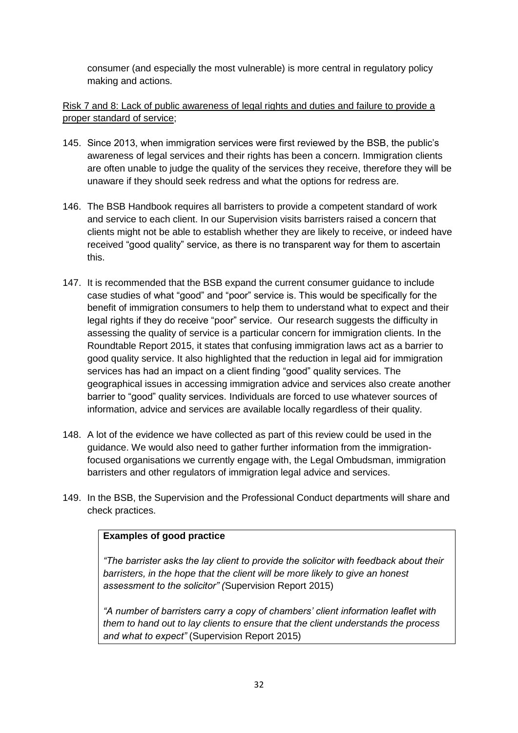consumer (and especially the most vulnerable) is more central in regulatory policy making and actions.

Risk 7 and 8: Lack of public awareness of legal rights and duties and failure to provide a proper standard of service;

- 145. Since 2013, when immigration services were first reviewed by the BSB, the public's awareness of legal services and their rights has been a concern. Immigration clients are often unable to judge the quality of the services they receive, therefore they will be unaware if they should seek redress and what the options for redress are.
- 146. The BSB Handbook requires all barristers to provide a competent standard of work and service to each client. In our Supervision visits barristers raised a concern that clients might not be able to establish whether they are likely to receive, or indeed have received "good quality" service, as there is no transparent way for them to ascertain this.
- 147. It is recommended that the BSB expand the current consumer guidance to include case studies of what "good" and "poor" service is. This would be specifically for the benefit of immigration consumers to help them to understand what to expect and their legal rights if they do receive "poor" service. Our research suggests the difficulty in assessing the quality of service is a particular concern for immigration clients. In the Roundtable Report 2015, it states that confusing immigration laws act as a barrier to good quality service. It also highlighted that the reduction in legal aid for immigration services has had an impact on a client finding "good" quality services. The geographical issues in accessing immigration advice and services also create another barrier to "good" quality services. Individuals are forced to use whatever sources of information, advice and services are available locally regardless of their quality.
- 148. A lot of the evidence we have collected as part of this review could be used in the guidance. We would also need to gather further information from the immigrationfocused organisations we currently engage with, the Legal Ombudsman, immigration barristers and other regulators of immigration legal advice and services.
- 149. In the BSB, the Supervision and the Professional Conduct departments will share and check practices.

#### **Examples of good practice**

*"The barrister asks the lay client to provide the solicitor with feedback about their barristers, in the hope that the client will be more likely to give an honest assessment to the solicitor" (*Supervision Report 2015)

*"A number of barristers carry a copy of chambers' client information leaflet with them to hand out to lay clients to ensure that the client understands the process and what to expect"* (Supervision Report 2015)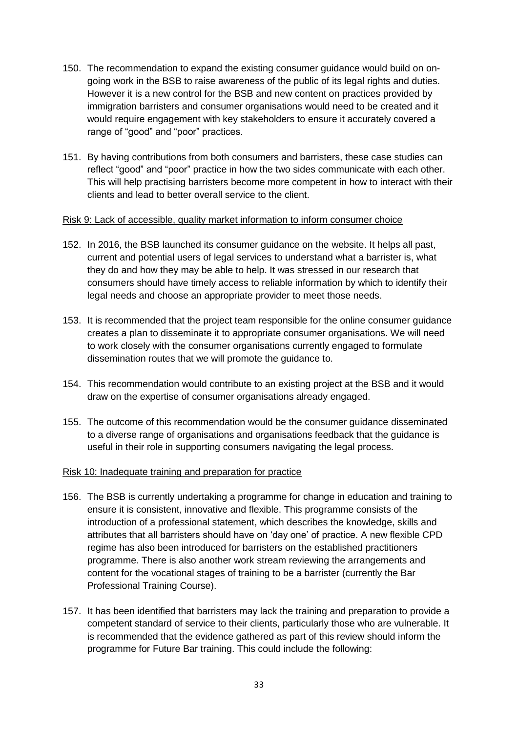- 150. The recommendation to expand the existing consumer guidance would build on ongoing work in the BSB to raise awareness of the public of its legal rights and duties. However it is a new control for the BSB and new content on practices provided by immigration barristers and consumer organisations would need to be created and it would require engagement with key stakeholders to ensure it accurately covered a range of "good" and "poor" practices.
- 151. By having contributions from both consumers and barristers, these case studies can reflect "good" and "poor" practice in how the two sides communicate with each other. This will help practising barristers become more competent in how to interact with their clients and lead to better overall service to the client.

#### Risk 9: Lack of accessible, quality market information to inform consumer choice

- 152. In 2016, the BSB launched its consumer guidance on the website. It helps all past, current and potential users of legal services to understand what a barrister is, what they do and how they may be able to help. It was stressed in our research that consumers should have timely access to reliable information by which to identify their legal needs and choose an appropriate provider to meet those needs.
- 153. It is recommended that the project team responsible for the online consumer guidance creates a plan to disseminate it to appropriate consumer organisations. We will need to work closely with the consumer organisations currently engaged to formulate dissemination routes that we will promote the guidance to.
- 154. This recommendation would contribute to an existing project at the BSB and it would draw on the expertise of consumer organisations already engaged.
- 155. The outcome of this recommendation would be the consumer guidance disseminated to a diverse range of organisations and organisations feedback that the guidance is useful in their role in supporting consumers navigating the legal process.

#### Risk 10: Inadequate training and preparation for practice

- 156. The BSB is currently undertaking a programme for change in education and training to ensure it is consistent, innovative and flexible. This programme consists of the introduction of a professional statement, which describes the knowledge, skills and attributes that all barristers should have on 'day one' of practice. A new flexible CPD regime has also been introduced for barristers on the established practitioners programme. There is also another work stream reviewing the arrangements and content for the vocational stages of training to be a barrister (currently the Bar Professional Training Course).
- 157. It has been identified that barristers may lack the training and preparation to provide a competent standard of service to their clients, particularly those who are vulnerable. It is recommended that the evidence gathered as part of this review should inform the programme for Future Bar training. This could include the following: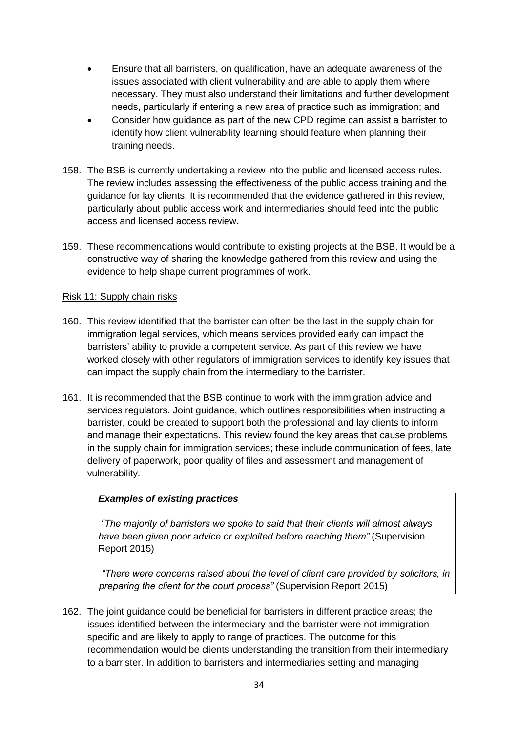- Ensure that all barristers, on qualification, have an adequate awareness of the issues associated with client vulnerability and are able to apply them where necessary. They must also understand their limitations and further development needs, particularly if entering a new area of practice such as immigration; and
- Consider how guidance as part of the new CPD regime can assist a barrister to identify how client vulnerability learning should feature when planning their training needs.
- 158. The BSB is currently undertaking a review into the public and licensed access rules. The review includes assessing the effectiveness of the public access training and the guidance for lay clients. It is recommended that the evidence gathered in this review, particularly about public access work and intermediaries should feed into the public access and licensed access review.
- 159. These recommendations would contribute to existing projects at the BSB. It would be a constructive way of sharing the knowledge gathered from this review and using the evidence to help shape current programmes of work.

#### Risk 11: Supply chain risks

- 160. This review identified that the barrister can often be the last in the supply chain for immigration legal services, which means services provided early can impact the barristers' ability to provide a competent service. As part of this review we have worked closely with other regulators of immigration services to identify key issues that can impact the supply chain from the intermediary to the barrister.
- 161. It is recommended that the BSB continue to work with the immigration advice and services regulators. Joint guidance, which outlines responsibilities when instructing a barrister, could be created to support both the professional and lay clients to inform and manage their expectations. This review found the key areas that cause problems in the supply chain for immigration services; these include communication of fees, late delivery of paperwork, poor quality of files and assessment and management of vulnerability.

#### *Examples of existing practices*

*"The majority of barristers we spoke to said that their clients will almost always have been given poor advice or exploited before reaching them"* (Supervision Report 2015)

*"There were concerns raised about the level of client care provided by solicitors, in preparing the client for the court process"* (Supervision Report 2015)

162. The joint guidance could be beneficial for barristers in different practice areas; the issues identified between the intermediary and the barrister were not immigration specific and are likely to apply to range of practices. The outcome for this recommendation would be clients understanding the transition from their intermediary to a barrister. In addition to barristers and intermediaries setting and managing